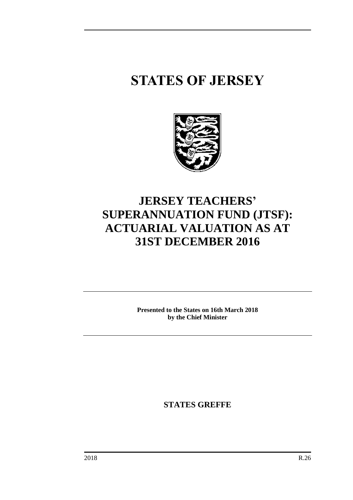# **STATES OF JERSEY**



### **JERSEY TEACHERS' SUPERANNUATION FUND (JTSF): ACTUARIAL VALUATION AS AT 31ST DECEMBER 2016**

**Presented to the States on 16th March 2018 by the Chief Minister**

**STATES GREFFE**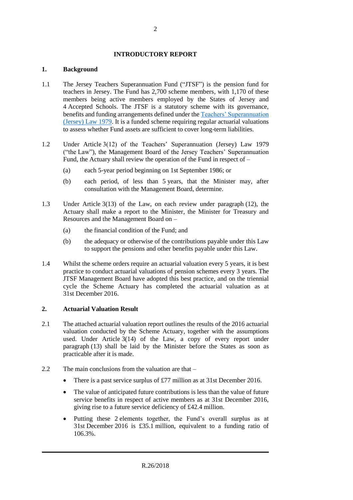#### **INTRODUCTORY REPORT**

#### **1. Background**

- 1.1 The Jersey Teachers Superannuation Fund ("JTSF") is the pension fund for teachers in Jersey. The Fund has 2,700 scheme members, with 1,170 of these members being active members employed by the States of Jersey and 4 Accepted Schools. The JTSF is a statutory scheme with its governance, benefits and funding arrangements defined under th[e Teachers' Superannuation](https://www.jerseylaw.je/laws/revised/Pages/16.850.aspx)  [\(Jersey\) Law 1979.](https://www.jerseylaw.je/laws/revised/Pages/16.850.aspx) It is a funded scheme requiring regular actuarial valuations to assess whether Fund assets are sufficient to cover long-term liabilities.
- 1.2 Under Article 3(12) of the Teachers' Superannuation (Jersey) Law 1979 ("the Law"), the Management Board of the Jersey Teachers' Superannuation Fund, the Actuary shall review the operation of the Fund in respect of –
	- (a) each 5-year period beginning on 1st September 1986; or
	- (b) each period, of less than 5 years, that the Minister may, after consultation with the Management Board, determine.
- 1.3 Under Article 3(13) of the Law, on each review under paragraph (12), the Actuary shall make a report to the Minister, the Minister for Treasury and Resources and the Management Board on –
	- (a) the financial condition of the Fund; and
	- (b) the adequacy or otherwise of the contributions payable under this Law to support the pensions and other benefits payable under this Law.
- 1.4 Whilst the scheme orders require an actuarial valuation every 5 years, it is best practice to conduct actuarial valuations of pension schemes every 3 years. The JTSF Management Board have adopted this best practice, and on the triennial cycle the Scheme Actuary has completed the actuarial valuation as at 31st December 2016.

#### **2. Actuarial Valuation Result**

- 2.1 The attached actuarial valuation report outlines the results of the 2016 actuarial valuation conducted by the Scheme Actuary, together with the assumptions used. Under Article 3(14) of the Law, a copy of every report under paragraph (13) shall be laid by the Minister before the States as soon as practicable after it is made.
- 2.2 The main conclusions from the valuation are that
	- There is a past service surplus of £77 million as at 31st December 2016.
	- The value of anticipated future contributions is less than the value of future service benefits in respect of active members as at 31st December 2016, giving rise to a future service deficiency of £42.4 million.
	- Putting these 2 elements together, the Fund's overall surplus as at 31st December 2016 is £35.1 million, equivalent to a funding ratio of 106.3%.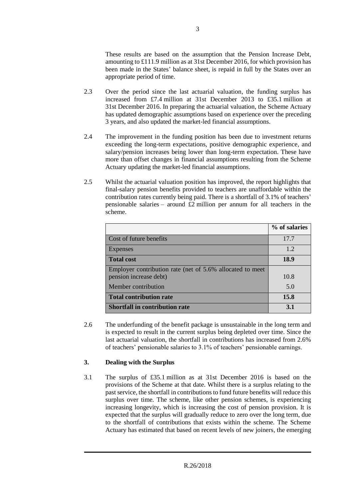These results are based on the assumption that the Pension Increase Debt, amounting to £111.9 million as at 31st December 2016, for which provision has been made in the States' balance sheet, is repaid in full by the States over an appropriate period of time.

- 2.3 Over the period since the last actuarial valuation, the funding surplus has increased from £7.4 million at 31st December 2013 to £35.1 million at 31st December 2016. In preparing the actuarial valuation, the Scheme Actuary has updated demographic assumptions based on experience over the preceding 3 years, and also updated the market-led financial assumptions.
- 2.4 The improvement in the funding position has been due to investment returns exceeding the long-term expectations, positive demographic experience, and salary/pension increases being lower than long-term expectation. These have more than offset changes in financial assumptions resulting from the Scheme Actuary updating the market-led financial assumptions.
- 2.5 Whilst the actuarial valuation position has improved, the report highlights that final-salary pension benefits provided to teachers are unaffordable within the contribution rates currently being paid. There is a shortfall of 3.1% of teachers' pensionable salaries – around £2 million per annum for all teachers in the scheme.

|                                                                                     | % of salaries |
|-------------------------------------------------------------------------------------|---------------|
| Cost of future benefits                                                             | 17.7          |
| Expenses                                                                            | 1.2           |
| <b>Total cost</b>                                                                   | 18.9          |
| Employer contribution rate (net of 5.6% allocated to meet<br>pension increase debt) | 10.8          |
| Member contribution                                                                 | 5.0           |
| <b>Total contribution rate</b>                                                      | 15.8          |
| <b>Shortfall in contribution rate</b>                                               | 3.1           |

2.6 The underfunding of the benefit package is unsustainable in the long term and is expected to result in the current surplus being depleted over time. Since the last actuarial valuation, the shortfall in contributions has increased from 2.6% of teachers' pensionable salaries to 3.1% of teachers' pensionable earnings.

#### **3. Dealing with the Surplus**

3.1 The surplus of £35.1 million as at 31st December 2016 is based on the provisions of the Scheme at that date. Whilst there is a surplus relating to the past service, the shortfall in contributions to fund future benefits will reduce this surplus over time. The scheme, like other pension schemes, is experiencing increasing longevity, which is increasing the cost of pension provision. It is expected that the surplus will gradually reduce to zero over the long term, due to the shortfall of contributions that exists within the scheme. The Scheme Actuary has estimated that based on recent levels of new joiners, the emerging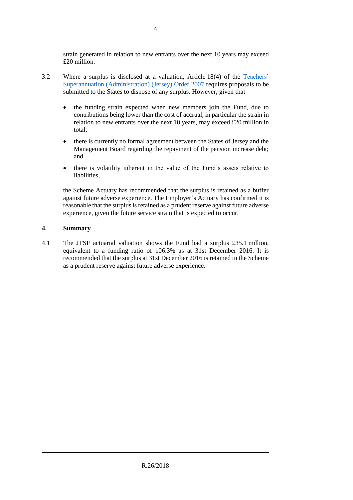strain generated in relation to new entrants over the next 10 years may exceed £20 million.

- 3.2 Where a surplus is disclosed at a valuation, Article 18(4) of the [Teachers'](https://www.jerseylaw.je/laws/revised/Pages/16.850.05.aspx)  [Superannuation \(Administration\) \(Jersey\) Order 2007](https://www.jerseylaw.je/laws/revised/Pages/16.850.05.aspx) requires proposals to be submitted to the States to dispose of any surplus. However, given that –
	- the funding strain expected when new members join the Fund, due to contributions being lower than the cost of accrual, in particular the strain in relation to new entrants over the next 10 years, may exceed £20 million in total;
	- there is currently no formal agreement between the States of Jersey and the Management Board regarding the repayment of the pension increase debt; and
	- there is volatility inherent in the value of the Fund's assets relative to liabilities,

the Scheme Actuary has recommended that the surplus is retained as a buffer against future adverse experience. The Employer's Actuary has confirmed it is reasonable that the surplus is retained as a prudent reserve against future adverse experience, given the future service strain that is expected to occur.

#### **4. Summary**

4.1 The JTSF actuarial valuation shows the Fund had a surplus £35.1 million, equivalent to a funding ratio of 106.3% as at 31st December 2016. It is recommended that the surplus at 31st December 2016 is retained in the Scheme as a prudent reserve against future adverse experience.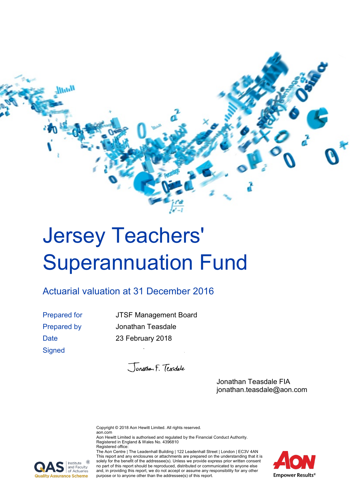

# <span id="page-4-0"></span>Jersey Teachers' Superannuation Fund

### <span id="page-4-1"></span>Actuarial valuation at 31 December 2016

**Signed** 

Prepared for JTSF Management Board Prepared by Jonathan Teasdale Date 23 February 2018

Jonathan F. Tensdale

Jonathan Teasdale FIA jonathan.teasdale@aon.com

Copyright © 2018 Aon Hewitt Limited. All rights reserved. aon.com

Aon Hewitt Limited is authorised and regulated by the Financial Conduct Authority. Registered in England & Wales No. 4396810 Registered office:

The Aon Centre | The Leadenhall Building | 122 Leadenhall Street | London | EC3V 4AN This report and any enclosures or attachments are prepared on the understanding that it is solely for the benefit of the addressee(s). Unless we provide express prior written consent no part of this report should be reproduced, distributed or communicated to anyone else and, in providing this report, we do not accept or assume any responsibility for any other purpose or to anyone other than the addressee(s) of this report.



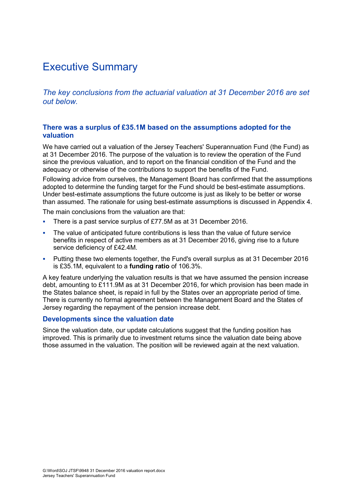### Executive Summary

*The key conclusions from the actuarial valuation at 31 December 2016 are set out below.*

#### **There was a surplus of £35.1M based on the assumptions adopted for the valuation**

We have carried out a valuation of the Jersey Teachers' Superannuation Fund (the Fund) as at 31 December 2016. The purpose of the valuation is to review the operation of the Fund since the previous valuation, and to report on the financial condition of the Fund and the adequacy or otherwise of the contributions to support the benefits of the Fund.

Following advice from ourselves, the Management Board has confirmed that the assumptions adopted to determine the funding target for the Fund should be best-estimate assumptions. Under best-estimate assumptions the future outcome is just as likely to be better or worse than assumed. The rationale for using best-estimate assumptions is discussed in Appendix 4.

The main conclusions from the valuation are that:

- There is a past service surplus of £77.5M as at 31 December 2016.
- The value of anticipated future contributions is less than the value of future service benefits in respect of active members as at 31 December 2016, giving rise to a future service deficiency of £42.4M.
- Putting these two elements together, the Fund's overall surplus as at 31 December 2016 is £35.1M, equivalent to a **funding ratio** of 106.3%.

A key feature underlying the valuation results is that we have assumed the pension increase debt, amounting to £111.9M as at 31 December 2016, for which provision has been made in the States balance sheet, is repaid in full by the States over an appropriate period of time. There is currently no formal agreement between the Management Board and the States of Jersey regarding the repayment of the pension increase debt.

#### **Developments since the valuation date**

Since the valuation date, our update calculations suggest that the funding position has improved. This is primarily due to investment returns since the valuation date being above those assumed in the valuation. The position will be reviewed again at the next valuation.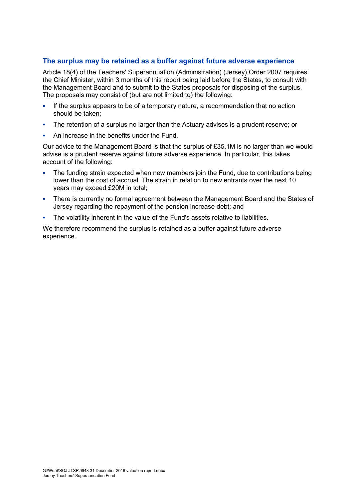#### **The surplus may be retained as a buffer against future adverse experience**

Article 18(4) of the Teachers' Superannuation (Administration) (Jersey) Order 2007 requires the Chief Minister, within 3 months of this report being laid before the States, to consult with the Management Board and to submit to the States proposals for disposing of the surplus. The proposals may consist of (but are not limited to) the following:

- If the surplus appears to be of a temporary nature, a recommendation that no action should be taken;
- The retention of a surplus no larger than the Actuary advises is a prudent reserve; or
- An increase in the benefits under the Fund.

Our advice to the Management Board is that the surplus of £35.1M is no larger than we would advise is a prudent reserve against future adverse experience. In particular, this takes account of the following:

- The funding strain expected when new members join the Fund, due to contributions being lower than the cost of accrual. The strain in relation to new entrants over the next 10 years may exceed £20M in total;
- There is currently no formal agreement between the Management Board and the States of Jersey regarding the repayment of the pension increase debt; and
- The volatility inherent in the value of the Fund's assets relative to liabilities.

We therefore recommend the surplus is retained as a buffer against future adverse experience.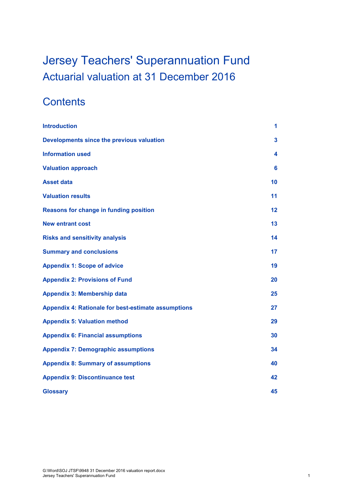## [Jersey Teachers' Superannuation Fund](#page-4-0) [Actuarial valuation at 31](#page-4-1) December 2016

### **Contents**

| <b>Introduction</b>                                        | 1  |
|------------------------------------------------------------|----|
| Developments since the previous valuation                  | 3  |
| <b>Information used</b>                                    | 4  |
| <b>Valuation approach</b>                                  | 6  |
| <b>Asset data</b>                                          | 10 |
| <b>Valuation results</b>                                   | 11 |
| Reasons for change in funding position                     | 12 |
| <b>New entrant cost</b>                                    | 13 |
| <b>Risks and sensitivity analysis</b>                      | 14 |
| <b>Summary and conclusions</b>                             | 17 |
| <b>Appendix 1: Scope of advice</b>                         | 19 |
| <b>Appendix 2: Provisions of Fund</b>                      | 20 |
| <b>Appendix 3: Membership data</b>                         | 25 |
| <b>Appendix 4: Rationale for best-estimate assumptions</b> | 27 |
| <b>Appendix 5: Valuation method</b>                        | 29 |
| <b>Appendix 6: Financial assumptions</b>                   | 30 |
| <b>Appendix 7: Demographic assumptions</b>                 | 34 |
| <b>Appendix 8: Summary of assumptions</b>                  | 40 |
| <b>Appendix 9: Discontinuance test</b>                     | 42 |
| <b>Glossary</b>                                            | 45 |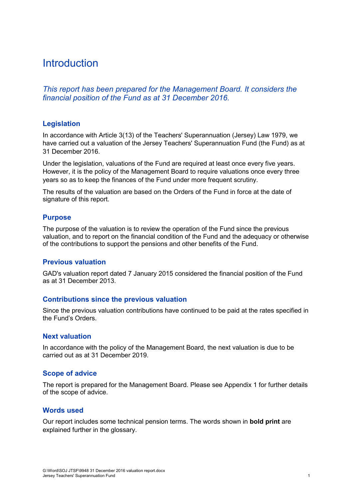### <span id="page-8-0"></span>**Introduction**

*This report has been prepared for the Management Board. It considers the financial position of the Fund as at 31 December 2016.*

#### **Legislation**

In accordance with Article 3(13) of the Teachers' Superannuation (Jersey) Law 1979, we have carried out a valuation of the Jersey Teachers' Superannuation Fund (the Fund) as at 31 December 2016.

Under the legislation, valuations of the Fund are required at least once every five years. However, it is the policy of the Management Board to require valuations once every three years so as to keep the finances of the Fund under more frequent scrutiny.

The results of the valuation are based on the Orders of the Fund in force at the date of signature of this report.

#### **Purpose**

The purpose of the valuation is to review the operation of the Fund since the previous valuation, and to report on the financial condition of the Fund and the adequacy or otherwise of the contributions to support the pensions and other benefits of the Fund.

#### **Previous valuation**

GAD's valuation report dated 7 January 2015 considered the financial position of the Fund as at 31 December 2013.

#### **Contributions since the previous valuation**

Since the previous valuation contributions have continued to be paid at the rates specified in the Fund's Orders.

#### **Next valuation**

In accordance with the policy of the Management Board, the next valuation is due to be carried out as at 31 December 2019.

#### **Scope of advice**

The report is prepared for the Management Board. Please see Appendix 1 for further details of the scope of advice.

#### **Words used**

Our report includes some technical pension terms. The words shown in **bold print** are explained further in the glossary.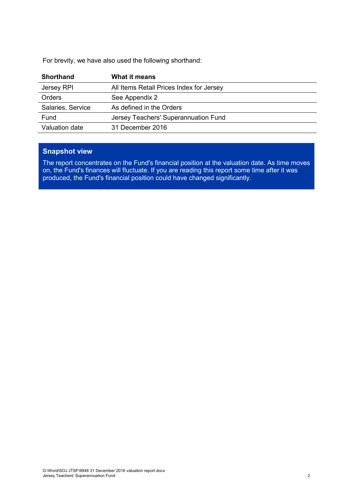For brevity, we have also used the following shorthand:

| <b>Shorthand</b>  | What it means                            |
|-------------------|------------------------------------------|
| Jersey RPI        | All Items Retail Prices Index for Jersey |
| <b>Orders</b>     | See Appendix 2                           |
| Salaries, Service | As defined in the Orders                 |
| Fund              | Jersey Teachers' Superannuation Fund     |
| Valuation date    | 31 December 2016                         |

### **Snapshot view**

The report concentrates on the Fund's financial position at the valuation date. As time moves on, the Fund's finances will fluctuate. If you are reading this report some time after it was produced, the Fund's financial position could have changed significantly.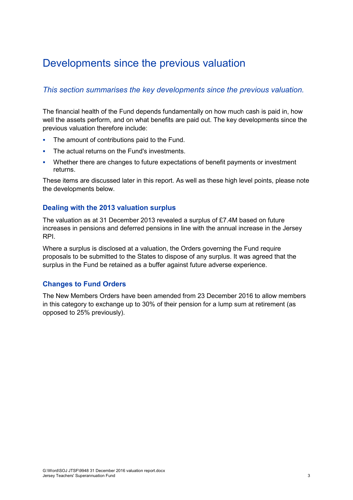### <span id="page-10-0"></span>Developments since the previous valuation

#### *This section summarises the key developments since the previous valuation.*

The financial health of the Fund depends fundamentally on how much cash is paid in, how well the assets perform, and on what benefits are paid out. The key developments since the previous valuation therefore include:

- The amount of contributions paid to the Fund.
- The actual returns on the Fund's investments.
- Whether there are changes to future expectations of benefit payments or investment returns.

These items are discussed later in this report. As well as these high level points, please note the developments below.

#### **Dealing with the 2013 valuation surplus**

The valuation as at 31 December 2013 revealed a surplus of £7.4M based on future increases in pensions and deferred pensions in line with the annual increase in the Jersey RPI.

Where a surplus is disclosed at a valuation, the Orders governing the Fund require proposals to be submitted to the States to dispose of any surplus. It was agreed that the surplus in the Fund be retained as a buffer against future adverse experience.

#### **Changes to Fund Orders**

The New Members Orders have been amended from 23 December 2016 to allow members in this category to exchange up to 30% of their pension for a lump sum at retirement (as opposed to 25% previously).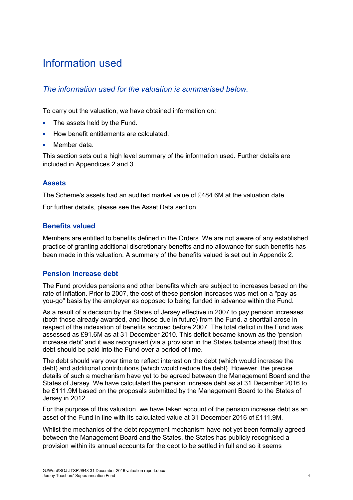### <span id="page-11-0"></span>Information used

#### *The information used for the valuation is summarised below.*

To carry out the valuation, we have obtained information on:

- The assets held by the Fund.
- How benefit entitlements are calculated.
- Member data.

This section sets out a high level summary of the information used. Further details are included in Appendices 2 and 3.

#### **Assets**

The Scheme's assets had an audited market value of £484.6M at the valuation date.

For further details, please see the Asset Data section.

#### **Benefits valued**

Members are entitled to benefits defined in the Orders. We are not aware of any established practice of granting additional discretionary benefits and no allowance for such benefits has been made in this valuation. A summary of the benefits valued is set out in Appendix 2.

#### **Pension increase debt**

The Fund provides pensions and other benefits which are subject to increases based on the rate of inflation. Prior to 2007, the cost of these pension increases was met on a "pay-asyou-go" basis by the employer as opposed to being funded in advance within the Fund.

As a result of a decision by the States of Jersey effective in 2007 to pay pension increases (both those already awarded, and those due in future) from the Fund, a shortfall arose in respect of the indexation of benefits accrued before 2007. The total deficit in the Fund was assessed as £91.6M as at 31 December 2010. This deficit became known as the 'pension increase debt' and it was recognised (via a provision in the States balance sheet) that this debt should be paid into the Fund over a period of time.

The debt should vary over time to reflect interest on the debt (which would increase the debt) and additional contributions (which would reduce the debt). However, the precise details of such a mechanism have yet to be agreed between the Management Board and the States of Jersey. We have calculated the pension increase debt as at 31 December 2016 to be £111.9M based on the proposals submitted by the Management Board to the States of Jersey in 2012.

For the purpose of this valuation, we have taken account of the pension increase debt as an asset of the Fund in line with its calculated value at 31 December 2016 of £111.9M.

Whilst the mechanics of the debt repayment mechanism have not yet been formally agreed between the Management Board and the States, the States has publicly recognised a provision within its annual accounts for the debt to be settled in full and so it seems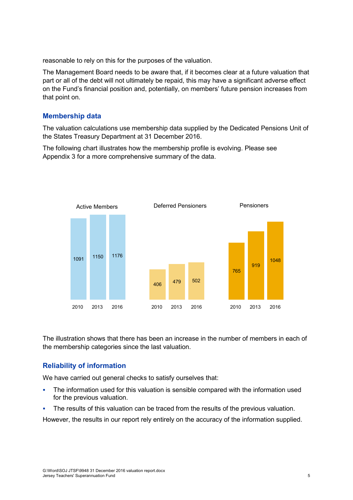reasonable to rely on this for the purposes of the valuation.

The Management Board needs to be aware that, if it becomes clear at a future valuation that part or all of the debt will not ultimately be repaid, this may have a significant adverse effect on the Fund's financial position and, potentially, on members' future pension increases from that point on.

#### **Membership data**

The valuation calculations use membership data supplied by the Dedicated Pensions Unit of the States Treasury Department at 31 December 2016.

The following chart illustrates how the membership profile is evolving. Please see Appendix 3 for a more comprehensive summary of the data.



The illustration shows that there has been an increase in the number of members in each of the membership categories since the last valuation.

#### **Reliability of information**

We have carried out general checks to satisfy ourselves that:

- The information used for this valuation is sensible compared with the information used for the previous valuation.
- The results of this valuation can be traced from the results of the previous valuation.

However, the results in our report rely entirely on the accuracy of the information supplied.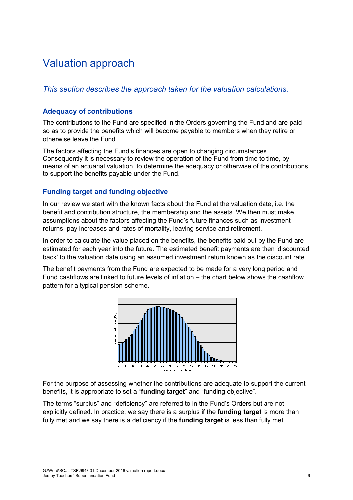### <span id="page-13-0"></span>Valuation approach

#### *This section describes the approach taken for the valuation calculations.*

#### **Adequacy of contributions**

The contributions to the Fund are specified in the Orders governing the Fund and are paid so as to provide the benefits which will become payable to members when they retire or otherwise leave the Fund.

The factors affecting the Fund's finances are open to changing circumstances. Consequently it is necessary to review the operation of the Fund from time to time, by means of an actuarial valuation, to determine the adequacy or otherwise of the contributions to support the benefits payable under the Fund.

#### **Funding target and funding objective**

In our review we start with the known facts about the Fund at the valuation date, i.e. the benefit and contribution structure, the membership and the assets. We then must make assumptions about the factors affecting the Fund's future finances such as investment returns, pay increases and rates of mortality, leaving service and retirement.

In order to calculate the value placed on the benefits, the benefits paid out by the Fund are estimated for each year into the future. The estimated benefit payments are then 'discounted back' to the valuation date using an assumed investment return known as the discount rate.

The benefit payments from the Fund are expected to be made for a very long period and Fund cashflows are linked to future levels of inflation – the chart below shows the cashflow pattern for a typical pension scheme.



For the purpose of assessing whether the contributions are adequate to support the current benefits, it is appropriate to set a "**funding target**" and "funding objective".

The terms "surplus" and "deficiency" are referred to in the Fund's Orders but are not explicitly defined. In practice, we say there is a surplus if the **funding target** is more than fully met and we say there is a deficiency if the **funding target** is less than fully met.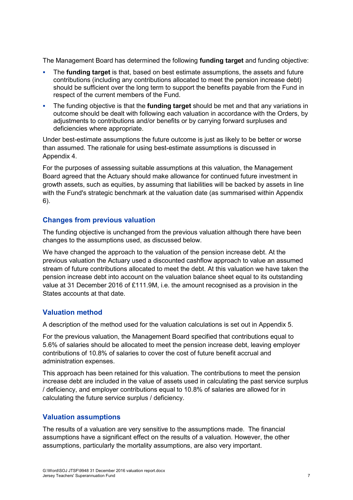The Management Board has determined the following **funding target** and funding objective:

- The **funding target** is that, based on best estimate assumptions, the assets and future contributions (including any contributions allocated to meet the pension increase debt) should be sufficient over the long term to support the benefits payable from the Fund in respect of the current members of the Fund.
- The funding objective is that the **funding target** should be met and that any variations in outcome should be dealt with following each valuation in accordance with the Orders, by adjustments to contributions and/or benefits or by carrying forward surpluses and deficiencies where appropriate.

Under best-estimate assumptions the future outcome is just as likely to be better or worse than assumed. The rationale for using best-estimate assumptions is discussed in Appendix 4.

For the purposes of assessing suitable assumptions at this valuation, the Management Board agreed that the Actuary should make allowance for continued future investment in growth assets, such as equities, by assuming that liabilities will be backed by assets in line with the Fund's strategic benchmark at the valuation date (as summarised within Appendix 6).

#### **Changes from previous valuation**

The funding objective is unchanged from the previous valuation although there have been changes to the assumptions used, as discussed below.

We have changed the approach to the valuation of the pension increase debt. At the previous valuation the Actuary used a discounted cashflow approach to value an assumed stream of future contributions allocated to meet the debt. At this valuation we have taken the pension increase debt into account on the valuation balance sheet equal to its outstanding value at 31 December 2016 of £111.9M, i.e. the amount recognised as a provision in the States accounts at that date.

#### **Valuation method**

A description of the method used for the valuation calculations is set out in Appendix 5.

For the previous valuation, the Management Board specified that contributions equal to 5.6% of salaries should be allocated to meet the pension increase debt, leaving employer contributions of 10.8% of salaries to cover the cost of future benefit accrual and administration expenses.

This approach has been retained for this valuation. The contributions to meet the pension increase debt are included in the value of assets used in calculating the past service surplus / deficiency, and employer contributions equal to 10.8% of salaries are allowed for in calculating the future service surplus / deficiency.

#### **Valuation assumptions**

The results of a valuation are very sensitive to the assumptions made. The financial assumptions have a significant effect on the results of a valuation. However, the other assumptions, particularly the mortality assumptions, are also very important.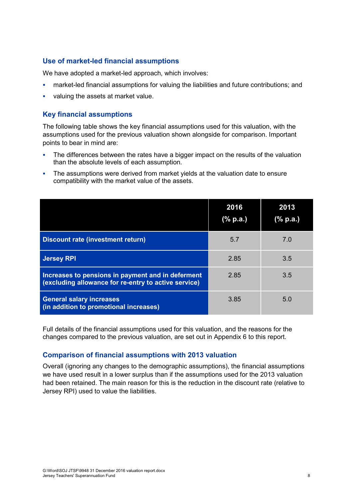#### **Use of market-led financial assumptions**

We have adopted a market-led approach, which involves:

- market-led financial assumptions for valuing the liabilities and future contributions; and
- valuing the assets at market value.

#### **Key financial assumptions**

The following table shows the key financial assumptions used for this valuation, with the assumptions used for the previous valuation shown alongside for comparison. Important points to bear in mind are:

- The differences between the rates have a bigger impact on the results of the valuation than the absolute levels of each assumption.
- The assumptions were derived from market yields at the valuation date to ensure compatibility with the market value of the assets.

|                                                                                                           | 2016<br>(% p.a.) | 2013<br>(% p.a.) |
|-----------------------------------------------------------------------------------------------------------|------------------|------------------|
| Discount rate (investment return)                                                                         | 5.7              | 7.0              |
| <b>Jersey RPI</b>                                                                                         | 2.85             | 3.5              |
| Increases to pensions in payment and in deferment<br>(excluding allowance for re-entry to active service) | 2.85             | 3.5              |
| <b>General salary increases</b><br>(in addition to promotional increases)                                 | 3.85             | 5.0              |

Full details of the financial assumptions used for this valuation, and the reasons for the changes compared to the previous valuation, are set out in Appendix 6 to this report.

#### **Comparison of financial assumptions with 2013 valuation**

Overall (ignoring any changes to the demographic assumptions), the financial assumptions we have used result in a lower surplus than if the assumptions used for the 2013 valuation had been retained. The main reason for this is the reduction in the discount rate (relative to Jersey RPI) used to value the liabilities.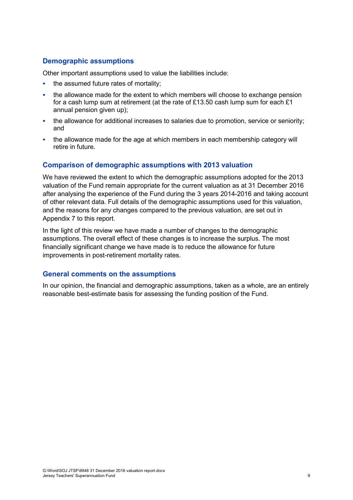#### **Demographic assumptions**

Other important assumptions used to value the liabilities include:

- the assumed future rates of mortality;
- the allowance made for the extent to which members will choose to exchange pension for a cash lump sum at retirement (at the rate of £13.50 cash lump sum for each  $£1$ annual pension given up);
- the allowance for additional increases to salaries due to promotion, service or seniority; and
- the allowance made for the age at which members in each membership category will retire in future.

#### **Comparison of demographic assumptions with 2013 valuation**

We have reviewed the extent to which the demographic assumptions adopted for the 2013 valuation of the Fund remain appropriate for the current valuation as at 31 December 2016 after analysing the experience of the Fund during the 3 years 2014-2016 and taking account of other relevant data. Full details of the demographic assumptions used for this valuation, and the reasons for any changes compared to the previous valuation, are set out in Appendix 7 to this report.

In the light of this review we have made a number of changes to the demographic assumptions. The overall effect of these changes is to increase the surplus. The most financially significant change we have made is to reduce the allowance for future improvements in post-retirement mortality rates.

#### **General comments on the assumptions**

In our opinion, the financial and demographic assumptions, taken as a whole, are an entirely reasonable best-estimate basis for assessing the funding position of the Fund.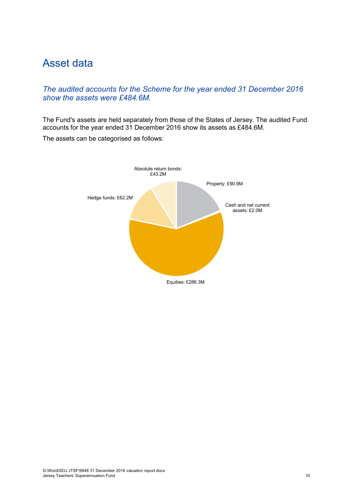### <span id="page-17-0"></span>Asset data

#### *The audited accounts for the Scheme for the year ended 31 December 2016 show the assets were £484.6M.*

The Fund's assets are held separately from those of the States of Jersey. The audited Fund accounts for the year ended 31 December 2016 show its assets as £484.6M.

The assets can be categorised as follows:

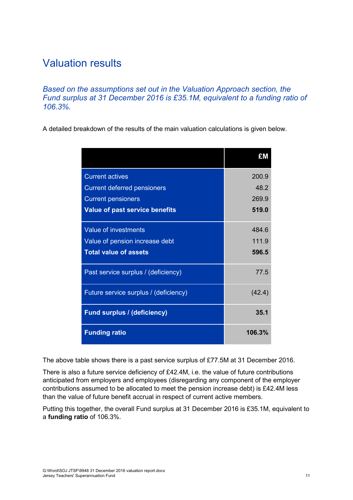### <span id="page-18-0"></span>Valuation results

*Based on the assumptions set out in the Valuation Approach section, the Fund surplus at 31 December 2016 is £35.1M, equivalent to a funding ratio of 106.3%.*

A detailed breakdown of the results of the main valuation calculations is given below.

|                                       | £Μ     |
|---------------------------------------|--------|
| <b>Current actives</b>                | 200.9  |
| <b>Current deferred pensioners</b>    | 48.2   |
| <b>Current pensioners</b>             | 269.9  |
| <b>Value of past service benefits</b> | 519.0  |
| Value of investments                  | 484.6  |
| Value of pension increase debt        | 111.9  |
| <b>Total value of assets</b>          | 596.5  |
| Past service surplus / (deficiency)   | 77.5   |
| Future service surplus / (deficiency) | (42.4) |
| <b>Fund surplus / (deficiency)</b>    | 35.1   |
| <b>Funding ratio</b>                  | 106.3% |

The above table shows there is a past service surplus of £77.5M at 31 December 2016.

There is also a future service deficiency of £42.4M, i.e. the value of future contributions anticipated from employers and employees (disregarding any component of the employer contributions assumed to be allocated to meet the pension increase debt) is £42.4M less than the value of future benefit accrual in respect of current active members.

Putting this together, the overall Fund surplus at 31 December 2016 is £35.1M, equivalent to a **funding ratio** of 106.3%.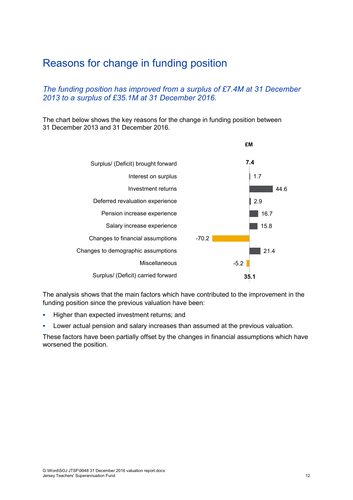### <span id="page-19-0"></span>Reasons for change in funding position

#### *The funding position has improved from a surplus of £7.4M at 31 December 2013 to a surplus of £35.1M at 31 December 2016.*

The chart below shows the key reasons for the change in funding position between 31 December 2013 and 31 December 2016.



The analysis shows that the main factors which have contributed to the improvement in the funding position since the previous valuation have been:

- **Higher than expected investment returns; and**
- Lower actual pension and salary increases than assumed at the previous valuation.

These factors have been partially offset by the changes in financial assumptions which have worsened the position.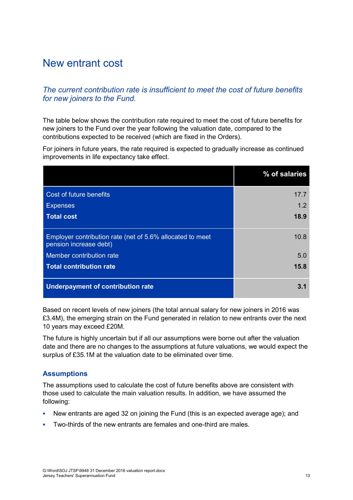### <span id="page-20-0"></span>New entrant cost

#### *The current contribution rate is insufficient to meet the cost of future benefits for new joiners to the Fund.*

The table below shows the contribution rate required to meet the cost of future benefits for new joiners to the Fund over the year following the valuation date, compared to the contributions expected to be received (which are fixed in the Orders).

For joiners in future years, the rate required is expected to gradually increase as continued improvements in life expectancy take effect.

|                                                                                     | % of salaries |
|-------------------------------------------------------------------------------------|---------------|
| Cost of future benefits                                                             | 17.7          |
| <b>Expenses</b>                                                                     | 1.2           |
| <b>Total cost</b>                                                                   | 18.9          |
| Employer contribution rate (net of 5.6% allocated to meet<br>pension increase debt) | 10.8          |
| Member contribution rate                                                            | 5.0           |
| <b>Total contribution rate</b>                                                      | 15.8          |
| <b>Underpayment of contribution rate</b>                                            | 3.1           |

Based on recent levels of new joiners (the total annual salary for new joiners in 2016 was £3.4M), the emerging strain on the Fund generated in relation to new entrants over the next 10 years may exceed £20M.

The future is highly uncertain but if all our assumptions were borne out after the valuation date and there are no changes to the assumptions at future valuations, we would expect the surplus of £35.1M at the valuation date to be eliminated over time.

#### **Assumptions**

The assumptions used to calculate the cost of future benefits above are consistent with those used to calculate the main valuation results. In addition, we have assumed the following:

- New entrants are aged 32 on joining the Fund (this is an expected average age); and
- Two-thirds of the new entrants are females and one-third are males.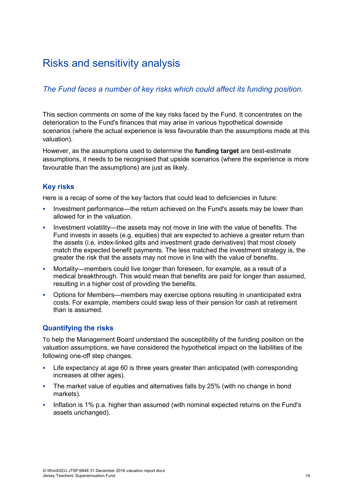### <span id="page-21-0"></span>Risks and sensitivity analysis

#### *The Fund faces a number of key risks which could affect its funding position.*

This section comments on some of the key risks faced by the Fund. It concentrates on the deterioration to the Fund's finances that may arise in various hypothetical downside scenarios (where the actual experience is less favourable than the assumptions made at this valuation).

However, as the assumptions used to determine the **funding target** are best-estimate assumptions, it needs to be recognised that upside scenarios (where the experience is more favourable than the assumptions) are just as likely.

#### **Key risks**

Here is a recap of some of the key factors that could lead to deficiencies in future:

- Investment performance—the return achieved on the Fund's assets may be lower than allowed for in the valuation.
- Investment volatility—the assets may not move in line with the value of benefits. The Fund invests in assets (e.g. equities) that are expected to achieve a greater return than the assets (i.e. index-linked gilts and investment grade derivatives) that most closely match the expected benefit payments. The less matched the investment strategy is, the greater the risk that the assets may not move in line with the value of benefits.
- Mortality—members could live longer than foreseen, for example, as a result of a medical breakthrough. This would mean that benefits are paid for longer than assumed, resulting in a higher cost of providing the benefits.
- Options for Members—members may exercise options resulting in unanticipated extra costs. For example, members could swap less of their pension for cash at retirement than is assumed.

#### **Quantifying the risks**

To help the Management Board understand the susceptibility of the funding position on the valuation assumptions, we have considered the hypothetical impact on the liabilities of the following one-off step changes.

- Life expectancy at age 60 is three years greater than anticipated (with corresponding increases at other ages).
- The market value of equities and alternatives falls by 25% (with no change in bond markets).
- Inflation is 1% p.a. higher than assumed (with nominal expected returns on the Fund's assets unchanged).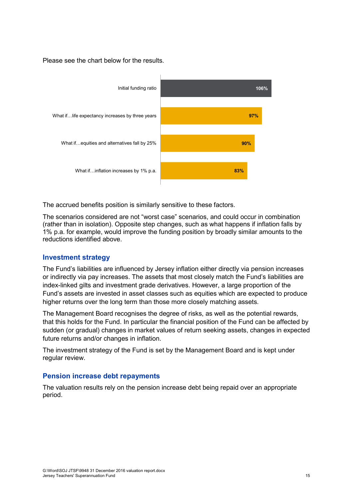Please see the chart below for the results.



The accrued benefits position is similarly sensitive to these factors.

The scenarios considered are not "worst case" scenarios, and could occur in combination (rather than in isolation). Opposite step changes, such as what happens if inflation falls by 1% p.a. for example, would improve the funding position by broadly similar amounts to the reductions identified above.

#### **Investment strategy**

The Fund's liabilities are influenced by Jersey inflation either directly via pension increases or indirectly via pay increases. The assets that most closely match the Fund's liabilities are index-linked gilts and investment grade derivatives. However, a large proportion of the Fund's assets are invested in asset classes such as equities which are expected to produce higher returns over the long term than those more closely matching assets.

The Management Board recognises the degree of risks, as well as the potential rewards, that this holds for the Fund. In particular the financial position of the Fund can be affected by sudden (or gradual) changes in market values of return seeking assets, changes in expected future returns and/or changes in inflation.

The investment strategy of the Fund is set by the Management Board and is kept under regular review.

#### **Pension increase debt repayments**

The valuation results rely on the pension increase debt being repaid over an appropriate period.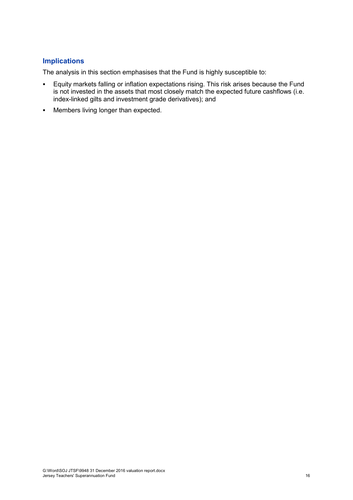#### **Implications**

The analysis in this section emphasises that the Fund is highly susceptible to:

- Equity markets falling or inflation expectations rising. This risk arises because the Fund is not invested in the assets that most closely match the expected future cashflows (i.e. index-linked gilts and investment grade derivatives); and
- **•** Members living longer than expected.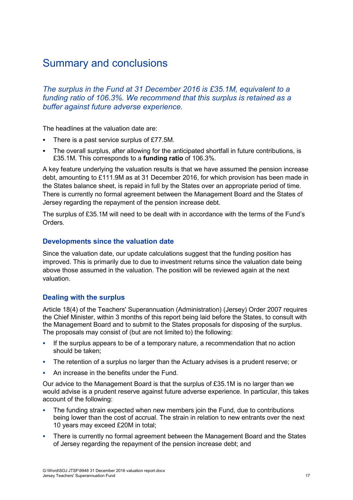### <span id="page-24-0"></span>Summary and conclusions

*The surplus in the Fund at 31 December 2016 is £35.1M, equivalent to a funding ratio of 106.3%. We recommend that this surplus is retained as a buffer against future adverse experience.*

The headlines at the valuation date are:

- There is a past service surplus of £77.5M.
- The overall surplus, after allowing for the anticipated shortfall in future contributions, is £35.1M. This corresponds to a **funding ratio** of 106.3%.

A key feature underlying the valuation results is that we have assumed the pension increase debt, amounting to £111.9M as at 31 December 2016, for which provision has been made in the States balance sheet, is repaid in full by the States over an appropriate period of time. There is currently no formal agreement between the Management Board and the States of Jersey regarding the repayment of the pension increase debt.

The surplus of £35.1M will need to be dealt with in accordance with the terms of the Fund's Orders.

#### **Developments since the valuation date**

Since the valuation date, our update calculations suggest that the funding position has improved. This is primarily due to due to investment returns since the valuation date being above those assumed in the valuation. The position will be reviewed again at the next valuation.

#### **Dealing with the surplus**

Article 18(4) of the Teachers' Superannuation (Administration) (Jersey) Order 2007 requires the Chief Minister, within 3 months of this report being laid before the States, to consult with the Management Board and to submit to the States proposals for disposing of the surplus. The proposals may consist of (but are not limited to) the following:

- If the surplus appears to be of a temporary nature, a recommendation that no action should be taken;
- The retention of a surplus no larger than the Actuary advises is a prudent reserve; or
- An increase in the benefits under the Fund.

Our advice to the Management Board is that the surplus of £35.1M is no larger than we would advise is a prudent reserve against future adverse experience. In particular, this takes account of the following:

- The funding strain expected when new members join the Fund, due to contributions being lower than the cost of accrual. The strain in relation to new entrants over the next 10 years may exceed £20M in total;
- There is currently no formal agreement between the Management Board and the States of Jersey regarding the repayment of the pension increase debt; and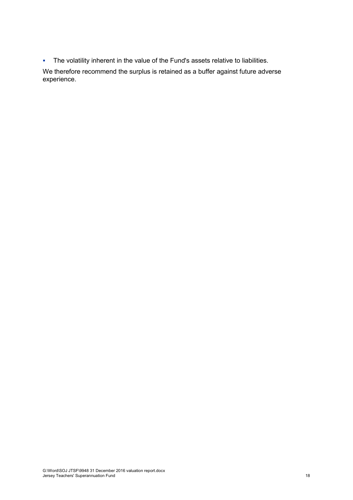The volatility inherent in the value of the Fund's assets relative to liabilities.

We therefore recommend the surplus is retained as a buffer against future adverse experience.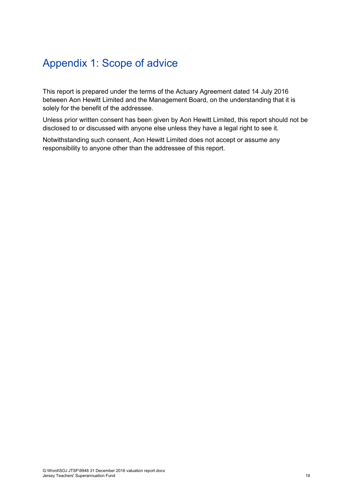### <span id="page-26-0"></span>Appendix 1: Scope of advice

This report is prepared under the terms of the Actuary Agreement dated 14 July 2016 between Aon Hewitt Limited and the Management Board, on the understanding that it is solely for the benefit of the addressee.

Unless prior written consent has been given by Aon Hewitt Limited, this report should not be disclosed to or discussed with anyone else unless they have a legal right to see it.

Notwithstanding such consent, Aon Hewitt Limited does not accept or assume any responsibility to anyone other than the addressee of this report.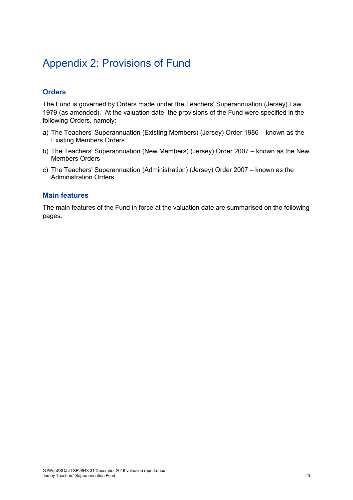### <span id="page-27-0"></span>Appendix 2: Provisions of Fund

#### **Orders**

The Fund is governed by Orders made under the Teachers' Superannuation (Jersey) Law 1979 (as amended). At the valuation date, the provisions of the Fund were specified in the following Orders, namely:

- a) The Teachers' Superannuation (Existing Members) (Jersey) Order 1986 known as the Existing Members Orders
- b) The Teachers' Superannuation (New Members) (Jersey) Order 2007 known as the New Members Orders
- c) The Teachers' Superannuation (Administration) (Jersey) Order 2007 known as the Administration Orders

#### **Main features**

The main features of the Fund in force at the valuation date are summarised on the following pages.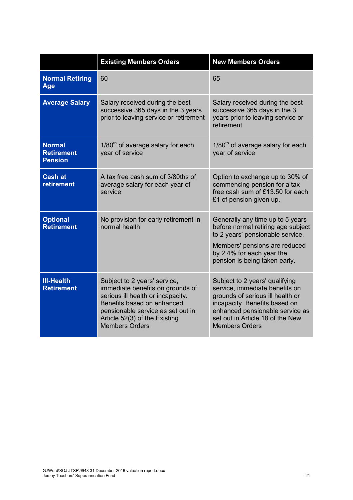|                                                      | <b>Existing Members Orders</b>                                                                                                                                                                                                     | <b>New Members Orders</b>                                                                                                                                                                                                             |
|------------------------------------------------------|------------------------------------------------------------------------------------------------------------------------------------------------------------------------------------------------------------------------------------|---------------------------------------------------------------------------------------------------------------------------------------------------------------------------------------------------------------------------------------|
| <b>Normal Retiring</b><br>Age                        | 60                                                                                                                                                                                                                                 | 65                                                                                                                                                                                                                                    |
| <b>Average Salary</b>                                | Salary received during the best<br>successive 365 days in the 3 years<br>prior to leaving service or retirement                                                                                                                    | Salary received during the best<br>successive 365 days in the 3<br>years prior to leaving service or<br>retirement                                                                                                                    |
| <b>Normal</b><br><b>Retirement</b><br><b>Pension</b> | 1/80 <sup>th</sup> of average salary for each<br>year of service                                                                                                                                                                   | $1/80th$ of average salary for each<br>year of service                                                                                                                                                                                |
| <b>Cash at</b><br><b>retirement</b>                  | A tax free cash sum of 3/80ths of<br>average salary for each year of<br>service                                                                                                                                                    | Option to exchange up to 30% of<br>commencing pension for a tax<br>free cash sum of £13.50 for each<br>£1 of pension given up.                                                                                                        |
| <b>Optional</b><br><b>Retirement</b>                 | No provision for early retirement in<br>normal health                                                                                                                                                                              | Generally any time up to 5 years<br>before normal retiring age subject<br>to 2 years' pensionable service.<br>Members' pensions are reduced<br>by 2.4% for each year the<br>pension is being taken early.                             |
| <b>III-Health</b><br><b>Retirement</b>               | Subject to 2 years' service,<br>immediate benefits on grounds of<br>serious ill health or incapacity.<br>Benefits based on enhanced<br>pensionable service as set out in<br>Article 52(3) of the Existing<br><b>Members Orders</b> | Subject to 2 years' qualifying<br>service, immediate benefits on<br>grounds of serious ill health or<br>incapacity. Benefits based on<br>enhanced pensionable service as<br>set out in Article 18 of the New<br><b>Members Orders</b> |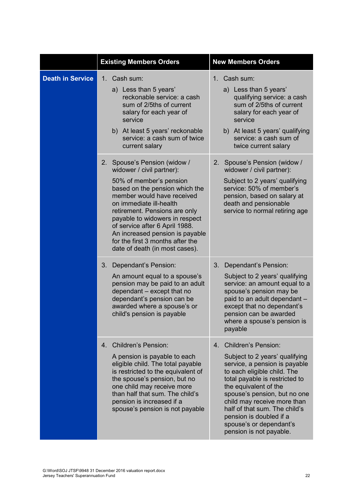|                         | <b>Existing Members Orders</b>                                                                                                                                                                                                                                                                                                                                                                   | <b>New Members Orders</b>                                                                                                                                                                                                                                                                                                                                                                  |
|-------------------------|--------------------------------------------------------------------------------------------------------------------------------------------------------------------------------------------------------------------------------------------------------------------------------------------------------------------------------------------------------------------------------------------------|--------------------------------------------------------------------------------------------------------------------------------------------------------------------------------------------------------------------------------------------------------------------------------------------------------------------------------------------------------------------------------------------|
| <b>Death in Service</b> | Cash sum:<br>$1_{-}$<br>a) Less than 5 years'<br>reckonable service: a cash<br>sum of 2/5ths of current<br>salary for each year of<br>service<br>b) At least 5 years' reckonable<br>service: a cash sum of twice<br>current salary                                                                                                                                                               | 1. Cash sum:<br>a) Less than 5 years'<br>qualifying service: a cash<br>sum of 2/5ths of current<br>salary for each year of<br>service<br>b) At least 5 years' qualifying<br>service: a cash sum of<br>twice current salary                                                                                                                                                                 |
|                         | 2.<br>Spouse's Pension (widow /<br>widower / civil partner):<br>50% of member's pension<br>based on the pension which the<br>member would have received<br>on immediate ill-health<br>retirement. Pensions are only<br>payable to widowers in respect<br>of service after 6 April 1988.<br>An increased pension is payable<br>for the first 3 months after the<br>date of death (in most cases). | 2.<br>Spouse's Pension (widow /<br>widower / civil partner):<br>Subject to 2 years' qualifying<br>service: 50% of member's<br>pension, based on salary at<br>death and pensionable<br>service to normal retiring age                                                                                                                                                                       |
|                         | 3.<br>Dependant's Pension:<br>An amount equal to a spouse's<br>pension may be paid to an adult<br>dependant - except that no<br>dependant's pension can be<br>awarded where a spouse's or<br>child's pension is payable                                                                                                                                                                          | Dependant's Pension:<br>3.<br>Subject to 2 years' qualifying<br>service: an amount equal to a<br>spouse's pension may be<br>paid to an adult dependant -<br>except that no dependant's<br>pension can be awarded<br>where a spouse's pension is<br>payable                                                                                                                                 |
|                         | <b>Children's Pension:</b><br>4 <sub>1</sub><br>A pension is payable to each<br>eligible child. The total payable<br>is restricted to the equivalent of<br>the spouse's pension, but no<br>one child may receive more<br>than half that sum. The child's<br>pension is increased if a<br>spouse's pension is not payable                                                                         | <b>Children's Pension:</b><br>4 <sub>1</sub><br>Subject to 2 years' qualifying<br>service, a pension is payable<br>to each eligible child. The<br>total payable is restricted to<br>the equivalent of the<br>spouse's pension, but no one<br>child may receive more than<br>half of that sum. The child's<br>pension is doubled if a<br>spouse's or dependant's<br>pension is not payable. |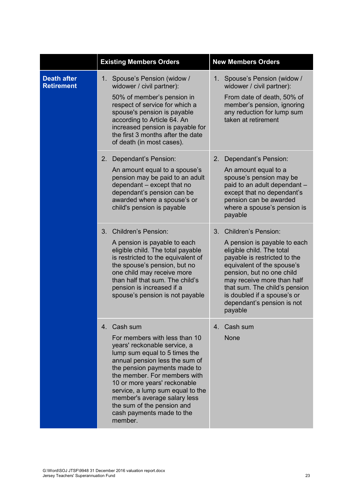|                                         | <b>Existing Members Orders</b>                                                                                                                                                                                                                                                                                                                                                            | <b>New Members Orders</b>                                                                                                                                                                                                                                                                                                                   |
|-----------------------------------------|-------------------------------------------------------------------------------------------------------------------------------------------------------------------------------------------------------------------------------------------------------------------------------------------------------------------------------------------------------------------------------------------|---------------------------------------------------------------------------------------------------------------------------------------------------------------------------------------------------------------------------------------------------------------------------------------------------------------------------------------------|
| <b>Death after</b><br><b>Retirement</b> | 1 <sub>1</sub><br>Spouse's Pension (widow /<br>widower / civil partner):<br>50% of member's pension in<br>respect of service for which a<br>spouse's pension is payable<br>according to Article 64. An<br>increased pension is payable for<br>the first 3 months after the date<br>of death (in most cases).                                                                              | Spouse's Pension (widow /<br>$1_{\cdot}$<br>widower / civil partner):<br>From date of death, 50% of<br>member's pension, ignoring<br>any reduction for lump sum<br>taken at retirement                                                                                                                                                      |
|                                         | 2.<br>Dependant's Pension:<br>An amount equal to a spouse's<br>pension may be paid to an adult<br>dependant - except that no<br>dependant's pension can be<br>awarded where a spouse's or<br>child's pension is payable                                                                                                                                                                   | Dependant's Pension:<br>2.<br>An amount equal to a<br>spouse's pension may be<br>paid to an adult dependant -<br>except that no dependant's<br>pension can be awarded<br>where a spouse's pension is<br>payable                                                                                                                             |
|                                         | <b>Children's Pension:</b><br>3.<br>A pension is payable to each<br>eligible child. The total payable<br>is restricted to the equivalent of<br>the spouse's pension, but no<br>one child may receive more<br>than half that sum. The child's<br>pension is increased if a<br>spouse's pension is not payable                                                                              | 3 <sub>1</sub><br><b>Children's Pension:</b><br>A pension is payable to each<br>eligible child. The total<br>payable is restricted to the<br>equivalent of the spouse's<br>pension, but no one child<br>may receive more than half<br>that sum. The child's pension<br>is doubled if a spouse's or<br>dependant's pension is not<br>payable |
|                                         | 4. Cash sum<br>For members with less than 10<br>years' reckonable service, a<br>lump sum equal to 5 times the<br>annual pension less the sum of<br>the pension payments made to<br>the member. For members with<br>10 or more years' reckonable<br>service, a lump sum equal to the<br>member's average salary less<br>the sum of the pension and<br>cash payments made to the<br>member. | Cash sum<br>$4_{-}$<br><b>None</b>                                                                                                                                                                                                                                                                                                          |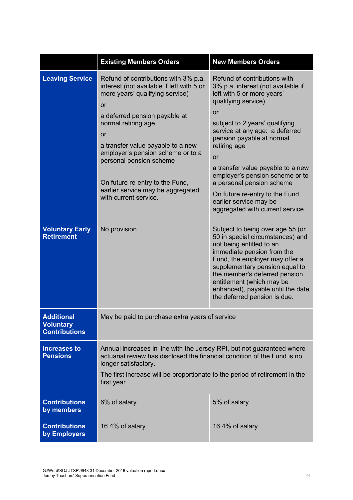|                                                               | <b>New Members Orders</b><br><b>Existing Members Orders</b>                                                                                                                                                                                                                                                                                                                                           |                                                                                                                                                                                                                                                                                                                                                                                                                                                                          |  |  |
|---------------------------------------------------------------|-------------------------------------------------------------------------------------------------------------------------------------------------------------------------------------------------------------------------------------------------------------------------------------------------------------------------------------------------------------------------------------------------------|--------------------------------------------------------------------------------------------------------------------------------------------------------------------------------------------------------------------------------------------------------------------------------------------------------------------------------------------------------------------------------------------------------------------------------------------------------------------------|--|--|
| <b>Leaving Service</b>                                        | Refund of contributions with 3% p.a.<br>interest (not available if left with 5 or<br>more years' qualifying service)<br><b>or</b><br>a deferred pension payable at<br>normal retiring age<br>or<br>a transfer value payable to a new<br>employer's pension scheme or to a<br>personal pension scheme<br>On future re-entry to the Fund,<br>earlier service may be aggregated<br>with current service. | Refund of contributions with<br>3% p.a. interest (not available if<br>left with 5 or more years'<br>qualifying service)<br><b>or</b><br>subject to 2 years' qualifying<br>service at any age: a deferred<br>pension payable at normal<br>retiring age<br><b>or</b><br>a transfer value payable to a new<br>employer's pension scheme or to<br>a personal pension scheme<br>On future re-entry to the Fund,<br>earlier service may be<br>aggregated with current service. |  |  |
| <b>Voluntary Early</b><br><b>Retirement</b>                   | No provision                                                                                                                                                                                                                                                                                                                                                                                          | Subject to being over age 55 (or<br>50 in special circumstances) and<br>not being entitled to an<br>immediate pension from the<br>Fund, the employer may offer a<br>supplementary pension equal to<br>the member's deferred pension<br>entitlement (which may be<br>enhanced), payable until the date<br>the deferred pension is due.                                                                                                                                    |  |  |
| <b>Additional</b><br><b>Voluntary</b><br><b>Contributions</b> | May be paid to purchase extra years of service                                                                                                                                                                                                                                                                                                                                                        |                                                                                                                                                                                                                                                                                                                                                                                                                                                                          |  |  |
| <b>Increases to</b><br><b>Pensions</b>                        | Annual increases in line with the Jersey RPI, but not guaranteed where<br>actuarial review has disclosed the financial condition of the Fund is no<br>longer satisfactory.<br>The first increase will be proportionate to the period of retirement in the<br>first year.                                                                                                                              |                                                                                                                                                                                                                                                                                                                                                                                                                                                                          |  |  |
| <b>Contributions</b><br>by members                            | 6% of salary                                                                                                                                                                                                                                                                                                                                                                                          | 5% of salary                                                                                                                                                                                                                                                                                                                                                                                                                                                             |  |  |
| <b>Contributions</b><br>by Employers                          | 16.4% of salary                                                                                                                                                                                                                                                                                                                                                                                       | 16.4% of salary                                                                                                                                                                                                                                                                                                                                                                                                                                                          |  |  |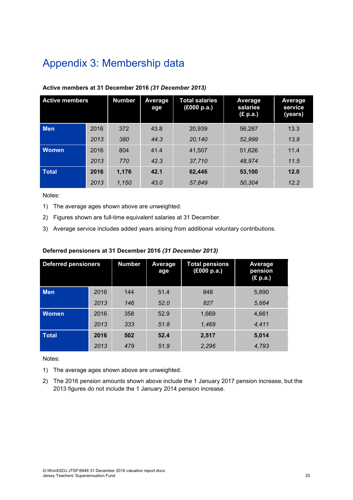### <span id="page-32-0"></span>Appendix 3: Membership data

| <b>Active members</b> |      | <b>Number</b> | Average<br>age | <b>Total salaries</b><br>(£000 p.a.) | Average<br>salaries<br>(£ p.a.) | Average<br>service<br>(years) |
|-----------------------|------|---------------|----------------|--------------------------------------|---------------------------------|-------------------------------|
| <b>Men</b>            | 2016 | 372           | 43.8           | 20.939                               | 56.287                          | 13.3                          |
|                       | 2013 | 380           | 44.3           | 20,140                               | 52,999                          | 13.8                          |
| <b>Women</b>          | 2016 | 804           | 41.4           | 41.507                               | 51.626                          | 11.4                          |
|                       | 2013 | 770           | 42.3           | 37,710                               | 48,974                          | 11.5                          |
| <b>Total</b>          | 2016 | 1,176         | 42.1           | 62,446                               | 53,100                          | 12.0                          |
|                       | 2013 | 1,150         | 43.0           | 57,849                               | 50,304                          | 12.2                          |

#### **Active members at 31 December 2016** *(31 December 2013)*

Notes:

- 1) The average ages shown above are unweighted.
- 2) Figures shown are full-time equivalent salaries at 31 December.
- 3) Average service includes added years arising from additional voluntary contributions.

#### **Deferred pensioners at 31 December 2016** *(31 December 2013)*

| <b>Deferred pensioners</b> |      | <b>Number</b> | Average<br>age | <b>Total pensions</b><br>(£000 p.a.) | Average<br>pension<br>(£ p.a.) |
|----------------------------|------|---------------|----------------|--------------------------------------|--------------------------------|
| <b>Men</b>                 | 2016 | 144           | 51.4           | 848                                  | 5,890                          |
|                            | 2013 | 146           | 52.0           | 827                                  | 5,664                          |
| <b>Women</b>               | 2016 | 358           | 52.9           | 1,669                                | 4,661                          |
|                            | 2013 | 333           | 51.8           | 1,469                                | 4,411                          |
| <b>Total</b>               | 2016 | 502           | 52.4           | 2,517                                | 5,014                          |
|                            | 2013 | 479           | 51.9           | 2,296                                | 4,793                          |

Notes:

- 1) The average ages shown above are unweighted.
- 2) The 2016 pension amounts shown above include the 1 January 2017 pension increase, but the 2013 figures do not include the 1 January 2014 pension increase.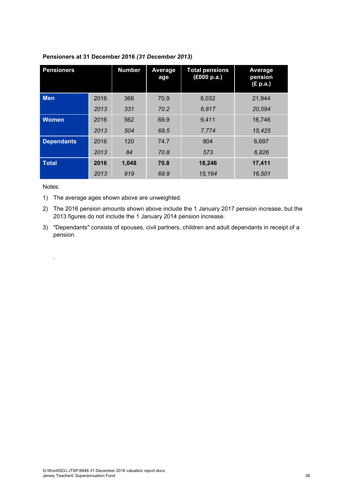| <b>Pensioners</b> |      | <b>Number</b> | Average<br>age | <b>Total pensions</b><br>(£000 p.a.) | Average<br>pension<br>(£ p.a.) |
|-------------------|------|---------------|----------------|--------------------------------------|--------------------------------|
| <b>Men</b>        | 2016 | 366           | 70.9           | 8,032                                | 21,944                         |
|                   | 2013 | 331           | 70.2           | 6,817                                | 20,594                         |
| <b>Women</b>      | 2016 | 562           | 69.9           | 9,411                                | 16,746                         |
|                   | 2013 | 504           | 69.5           | 7,774                                | 15.425                         |
| <b>Dependants</b> | 2016 | 120           | 74.7           | 804                                  | 6.697                          |
|                   | 2013 | 84            | 70.8           | 573                                  | 6,826                          |
| <b>Total</b>      | 2016 | 1,048         | 70.8           | 18,246                               | 17,411                         |
|                   | 2013 | 919           | 69.9           | 15,164                               | 16,501                         |

#### **Pensioners at 31 December 2016** *(31 December 2013)*

Notes:

.

- 1) The average ages shown above are unweighted.
- 2) The 2016 pension amounts shown above include the 1 January 2017 pension increase, but the 2013 figures do not include the 1 January 2014 pension increase.
- 3) "Dependants" consists of spouses, civil partners, children and adult dependants in receipt of a pension.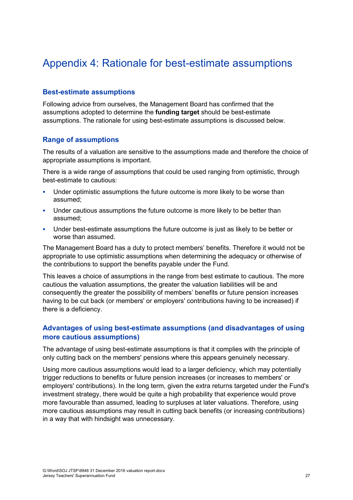### <span id="page-34-0"></span>Appendix 4: Rationale for best-estimate assumptions

#### **Best-estimate assumptions**

Following advice from ourselves, the Management Board has confirmed that the assumptions adopted to determine the **funding target** should be best-estimate assumptions. The rationale for using best-estimate assumptions is discussed below.

#### **Range of assumptions**

The results of a valuation are sensitive to the assumptions made and therefore the choice of appropriate assumptions is important.

There is a wide range of assumptions that could be used ranging from optimistic, through best-estimate to cautious:

- Under optimistic assumptions the future outcome is more likely to be worse than assumed;
- **Under cautious assumptions the future outcome is more likely to be better than** assumed;
- Under best-estimate assumptions the future outcome is just as likely to be better or worse than assumed.

The Management Board has a duty to protect members' benefits. Therefore it would not be appropriate to use optimistic assumptions when determining the adequacy or otherwise of the contributions to support the benefits payable under the Fund.

This leaves a choice of assumptions in the range from best estimate to cautious. The more cautious the valuation assumptions, the greater the valuation liabilities will be and consequently the greater the possibility of members' benefits or future pension increases having to be cut back (or members' or employers' contributions having to be increased) if there is a deficiency.

#### **Advantages of using best-estimate assumptions (and disadvantages of using more cautious assumptions)**

The advantage of using best-estimate assumptions is that it complies with the principle of only cutting back on the members' pensions where this appears genuinely necessary.

Using more cautious assumptions would lead to a larger deficiency, which may potentially trigger reductions to benefits or future pension increases (or increases to members' or employers' contributions). In the long term, given the extra returns targeted under the Fund's investment strategy, there would be quite a high probability that experience would prove more favourable than assumed, leading to surpluses at later valuations. Therefore, using more cautious assumptions may result in cutting back benefits (or increasing contributions) in a way that with hindsight was unnecessary.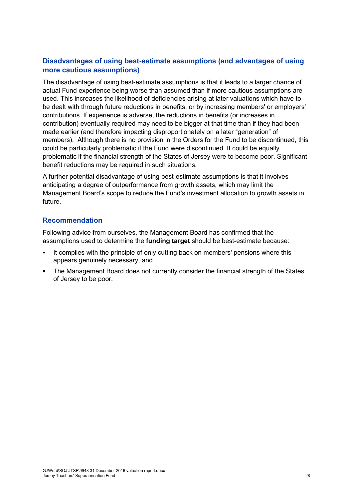#### **Disadvantages of using best-estimate assumptions (and advantages of using more cautious assumptions)**

The disadvantage of using best-estimate assumptions is that it leads to a larger chance of actual Fund experience being worse than assumed than if more cautious assumptions are used. This increases the likelihood of deficiencies arising at later valuations which have to be dealt with through future reductions in benefits, or by increasing members' or employers' contributions. If experience is adverse, the reductions in benefits (or increases in contribution) eventually required may need to be bigger at that time than if they had been made earlier (and therefore impacting disproportionately on a later "generation" of members). Although there is no provision in the Orders for the Fund to be discontinued, this could be particularly problematic if the Fund were discontinued. It could be equally problematic if the financial strength of the States of Jersey were to become poor. Significant benefit reductions may be required in such situations.

A further potential disadvantage of using best-estimate assumptions is that it involves anticipating a degree of outperformance from growth assets, which may limit the Management Board's scope to reduce the Fund's investment allocation to growth assets in future.

#### **Recommendation**

Following advice from ourselves, the Management Board has confirmed that the assumptions used to determine the **funding target** should be best-estimate because:

- It complies with the principle of only cutting back on members' pensions where this appears genuinely necessary, and
- The Management Board does not currently consider the financial strength of the States of Jersey to be poor.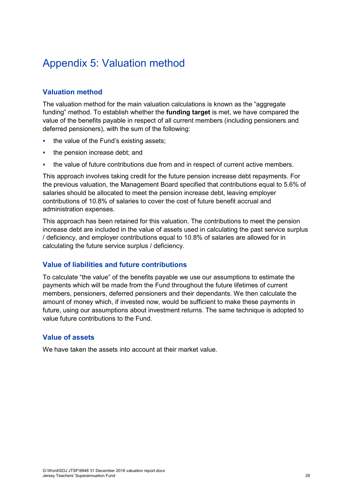### <span id="page-36-0"></span>Appendix 5: Valuation method

#### **Valuation method**

The valuation method for the main valuation calculations is known as the "aggregate funding" method. To establish whether the **funding target** is met, we have compared the value of the benefits payable in respect of all current members (including pensioners and deferred pensioners), with the sum of the following:

- the value of the Fund's existing assets;
- the pension increase debt; and
- the value of future contributions due from and in respect of current active members.

This approach involves taking credit for the future pension increase debt repayments. For the previous valuation, the Management Board specified that contributions equal to 5.6% of salaries should be allocated to meet the pension increase debt, leaving employer contributions of 10.8% of salaries to cover the cost of future benefit accrual and administration expenses.

This approach has been retained for this valuation. The contributions to meet the pension increase debt are included in the value of assets used in calculating the past service surplus / deficiency, and employer contributions equal to 10.8% of salaries are allowed for in calculating the future service surplus / deficiency.

#### **Value of liabilities and future contributions**

To calculate "the value" of the benefits payable we use our assumptions to estimate the payments which will be made from the Fund throughout the future lifetimes of current members, pensioners, deferred pensioners and their dependants. We then calculate the amount of money which, if invested now, would be sufficient to make these payments in future, using our assumptions about investment returns. The same technique is adopted to value future contributions to the Fund.

#### **Value of assets**

We have taken the assets into account at their market value.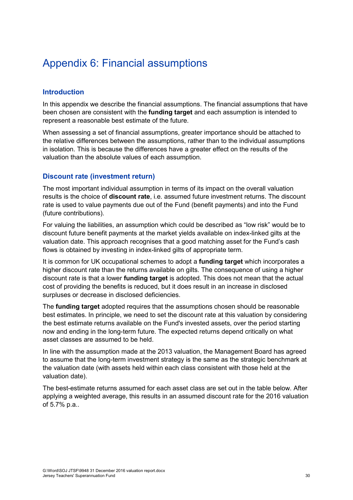### <span id="page-37-0"></span>Appendix 6: Financial assumptions

#### **Introduction**

In this appendix we describe the financial assumptions. The financial assumptions that have been chosen are consistent with the **funding target** and each assumption is intended to represent a reasonable best estimate of the future.

When assessing a set of financial assumptions, greater importance should be attached to the relative differences between the assumptions, rather than to the individual assumptions in isolation. This is because the differences have a greater effect on the results of the valuation than the absolute values of each assumption.

#### **Discount rate (investment return)**

The most important individual assumption in terms of its impact on the overall valuation results is the choice of **discount rate**, i.e. assumed future investment returns. The discount rate is used to value payments due out of the Fund (benefit payments) and into the Fund (future contributions).

For valuing the liabilities, an assumption which could be described as "low risk" would be to discount future benefit payments at the market yields available on index-linked gilts at the valuation date. This approach recognises that a good matching asset for the Fund's cash flows is obtained by investing in index-linked gilts of appropriate term.

It is common for UK occupational schemes to adopt a **funding target** which incorporates a higher discount rate than the returns available on gilts. The consequence of using a higher discount rate is that a lower **funding target** is adopted. This does not mean that the actual cost of providing the benefits is reduced, but it does result in an increase in disclosed surpluses or decrease in disclosed deficiencies.

The **funding target** adopted requires that the assumptions chosen should be reasonable best estimates. In principle, we need to set the discount rate at this valuation by considering the best estimate returns available on the Fund's invested assets, over the period starting now and ending in the long-term future. The expected returns depend critically on what asset classes are assumed to be held.

In line with the assumption made at the 2013 valuation, the Management Board has agreed to assume that the long-term investment strategy is the same as the strategic benchmark at the valuation date (with assets held within each class consistent with those held at the valuation date).

The best-estimate returns assumed for each asset class are set out in the table below. After applying a weighted average, this results in an assumed discount rate for the 2016 valuation of 5.7% p.a..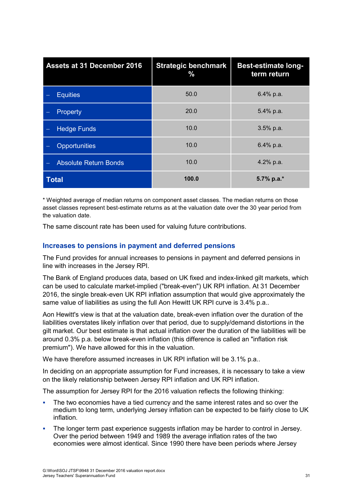| <b>Assets at 31 December 2016</b> | <b>Strategic benchmark</b><br>% | <b>Best-estimate long-</b><br>term return |
|-----------------------------------|---------------------------------|-------------------------------------------|
| <b>Equities</b>                   | 50.0                            | 6.4% p.a.                                 |
| Property                          | 20.0                            | 5.4% p.a.                                 |
| <b>Hedge Funds</b>                | 10.0                            | 3.5% p.a.                                 |
| <b>Opportunities</b>              | 10.0                            | 6.4% p.a.                                 |
| <b>Absolute Return Bonds</b>      | 10.0                            | 4.2% p.a.                                 |
| <b>Total</b>                      | 100.0                           | 5.7% p.a.*                                |

\* Weighted average of median returns on component asset classes. The median returns on those asset classes represent best-estimate returns as at the valuation date over the 30 year period from the valuation date.

The same discount rate has been used for valuing future contributions.

#### **Increases to pensions in payment and deferred pensions**

The Fund provides for annual increases to pensions in payment and deferred pensions in line with increases in the Jersey RPI.

The Bank of England produces data, based on UK fixed and index-linked gilt markets, which can be used to calculate market-implied ("break-even") UK RPI inflation. At 31 December 2016, the single break-even UK RPI inflation assumption that would give approximately the same value of liabilities as using the full Aon Hewitt UK RPI curve is 3.4% p.a..

Aon Hewitt's view is that at the valuation date, break-even inflation over the duration of the liabilities overstates likely inflation over that period, due to supply/demand distortions in the gilt market. Our best estimate is that actual inflation over the duration of the liabilities will be around 0.3% p.a. below break-even inflation (this difference is called an "inflation risk premium"). We have allowed for this in the valuation.

We have therefore assumed increases in UK RPI inflation will be 3.1% p.a..

In deciding on an appropriate assumption for Fund increases, it is necessary to take a view on the likely relationship between Jersey RPI inflation and UK RPI inflation.

The assumption for Jersey RPI for the 2016 valuation reflects the following thinking:

- The two economies have a tied currency and the same interest rates and so over the medium to long term, underlying Jersey inflation can be expected to be fairly close to UK inflation.
- The longer term past experience suggests inflation may be harder to control in Jersey. Over the period between 1949 and 1989 the average inflation rates of the two economies were almost identical. Since 1990 there have been periods where Jersey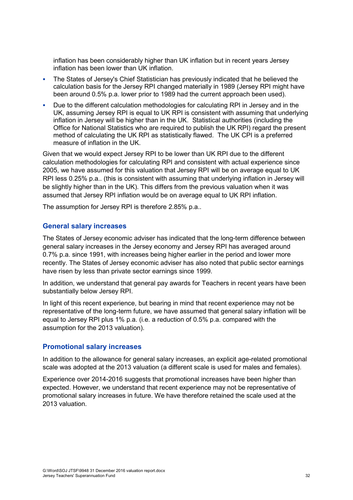inflation has been considerably higher than UK inflation but in recent years Jersey inflation has been lower than UK inflation.

- The States of Jersey's Chief Statistician has previously indicated that he believed the calculation basis for the Jersey RPI changed materially in 1989 (Jersey RPI might have been around 0.5% p.a. lower prior to 1989 had the current approach been used).
- Due to the different calculation methodologies for calculating RPI in Jersey and in the UK, assuming Jersey RPI is equal to UK RPI is consistent with assuming that underlying inflation in Jersey will be higher than in the UK. Statistical authorities (including the Office for National Statistics who are required to publish the UK RPI) regard the present method of calculating the UK RPI as statistically flawed. The UK CPI is a preferred measure of inflation in the UK.

Given that we would expect Jersey RPI to be lower than UK RPI due to the different calculation methodologies for calculating RPI and consistent with actual experience since 2005, we have assumed for this valuation that Jersey RPI will be on average equal to UK RPI less 0.25% p.a.. (this is consistent with assuming that underlying inflation in Jersey will be slightly higher than in the UK). This differs from the previous valuation when it was assumed that Jersey RPI inflation would be on average equal to UK RPI inflation.

The assumption for Jersey RPI is therefore 2.85% p.a..

#### **General salary increases**

The States of Jersey economic adviser has indicated that the long-term difference between general salary increases in the Jersey economy and Jersey RPI has averaged around 0.7% p.a. since 1991, with increases being higher earlier in the period and lower more recently. The States of Jersey economic adviser has also noted that public sector earnings have risen by less than private sector earnings since 1999.

In addition, we understand that general pay awards for Teachers in recent years have been substantially below Jersey RPI.

In light of this recent experience, but bearing in mind that recent experience may not be representative of the long-term future, we have assumed that general salary inflation will be equal to Jersey RPI plus 1% p.a. (i.e. a reduction of 0.5% p.a. compared with the assumption for the 2013 valuation).

#### **Promotional salary increases**

In addition to the allowance for general salary increases, an explicit age-related promotional scale was adopted at the 2013 valuation (a different scale is used for males and females).

Experience over 2014-2016 suggests that promotional increases have been higher than expected. However, we understand that recent experience may not be representative of promotional salary increases in future. We have therefore retained the scale used at the 2013 valuation.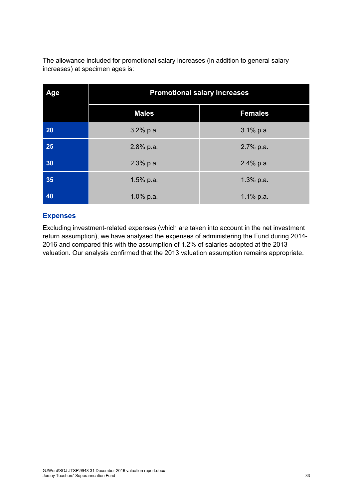The allowance included for promotional salary increases (in addition to general salary increases) at specimen ages is:

| Age | <b>Promotional salary increases</b> |                |
|-----|-------------------------------------|----------------|
|     | <b>Males</b>                        | <b>Females</b> |
| 20  | $3.2\%$ p.a.                        | 3.1% p.a.      |
| 25  | 2.8% p.a.                           | 2.7% p.a.      |
| 30  | 2.3% p.a.                           | 2.4% p.a.      |
| 35  | $1.5%$ p.a.                         | 1.3% p.a.      |
| 40  | 1.0% p.a.                           | 1.1% $p.a.$    |

#### **Expenses**

Excluding investment-related expenses (which are taken into account in the net investment return assumption), we have analysed the expenses of administering the Fund during 2014- 2016 and compared this with the assumption of 1.2% of salaries adopted at the 2013 valuation. Our analysis confirmed that the 2013 valuation assumption remains appropriate.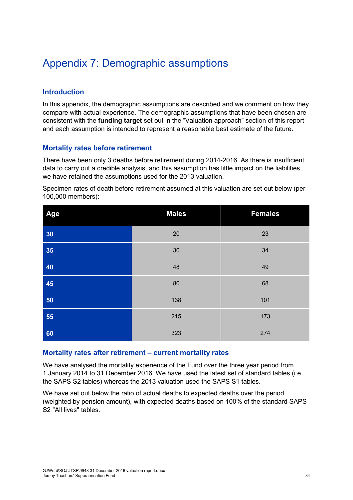### <span id="page-41-0"></span>Appendix 7: Demographic assumptions

#### **Introduction**

In this appendix, the demographic assumptions are described and we comment on how they compare with actual experience. The demographic assumptions that have been chosen are consistent with the **funding target** set out in the "Valuation approach" section of this report and each assumption is intended to represent a reasonable best estimate of the future.

#### **Mortality rates before retirement**

There have been only 3 deaths before retirement during 2014-2016. As there is insufficient data to carry out a credible analysis, and this assumption has little impact on the liabilities, we have retained the assumptions used for the 2013 valuation.

Specimen rates of death before retirement assumed at this valuation are set out below (per 100,000 members):

| Age | <b>Males</b> | <b>Females</b> |
|-----|--------------|----------------|
| 30  | 20           | 23             |
| 35  | 30           | 34             |
| 40  | 48           | 49             |
| 45  | 80           | 68             |
| 50  | 138          | 101            |
| 55  | 215          | 173            |
| 60  | 323          | 274            |

#### **Mortality rates after retirement – current mortality rates**

We have analysed the mortality experience of the Fund over the three year period from 1 January 2014 to 31 December 2016. We have used the latest set of standard tables (i.e. the SAPS S2 tables) whereas the 2013 valuation used the SAPS S1 tables.

We have set out below the ratio of actual deaths to expected deaths over the period (weighted by pension amount), with expected deaths based on 100% of the standard SAPS S2 "All lives" tables.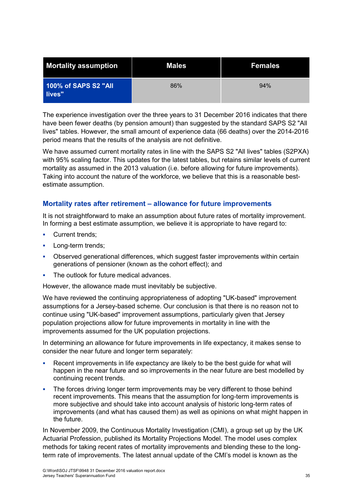| <b>Mortality assumption</b>    | <b>Males</b> | <b>Females</b> |
|--------------------------------|--------------|----------------|
| 100% of SAPS S2 "All<br>lives" | 86%          | 94%            |

The experience investigation over the three years to 31 December 2016 indicates that there have been fewer deaths (by pension amount) than suggested by the standard SAPS S2 "All lives" tables. However, the small amount of experience data (66 deaths) over the 2014-2016 period means that the results of the analysis are not definitive.

We have assumed current mortality rates in line with the SAPS S2 "All lives" tables (S2PXA) with 95% scaling factor. This updates for the latest tables, but retains similar levels of current mortality as assumed in the 2013 valuation (i.e. before allowing for future improvements). Taking into account the nature of the workforce, we believe that this is a reasonable bestestimate assumption.

#### **Mortality rates after retirement – allowance for future improvements**

It is not straightforward to make an assumption about future rates of mortality improvement. In forming a best estimate assumption, we believe it is appropriate to have regard to:

- Current trends;
- Long-term trends;
- Observed generational differences, which suggest faster improvements within certain generations of pensioner (known as the cohort effect); and
- The outlook for future medical advances.

However, the allowance made must inevitably be subjective.

We have reviewed the continuing appropriateness of adopting "UK-based" improvement assumptions for a Jersey-based scheme. Our conclusion is that there is no reason not to continue using "UK-based" improvement assumptions, particularly given that Jersey population projections allow for future improvements in mortality in line with the improvements assumed for the UK population projections.

In determining an allowance for future improvements in life expectancy, it makes sense to consider the near future and longer term separately:

- Recent improvements in life expectancy are likely to be the best guide for what will happen in the near future and so improvements in the near future are best modelled by continuing recent trends.
- The forces driving longer term improvements may be very different to those behind recent improvements. This means that the assumption for long-term improvements is more subjective and should take into account analysis of historic long-term rates of improvements (and what has caused them) as well as opinions on what might happen in the future.

In November 2009, the Continuous Mortality Investigation (CMI), a group set up by the UK Actuarial Profession, published its Mortality Projections Model. The model uses complex methods for taking recent rates of mortality improvements and blending these to the longterm rate of improvements. The latest annual update of the CMI's model is known as the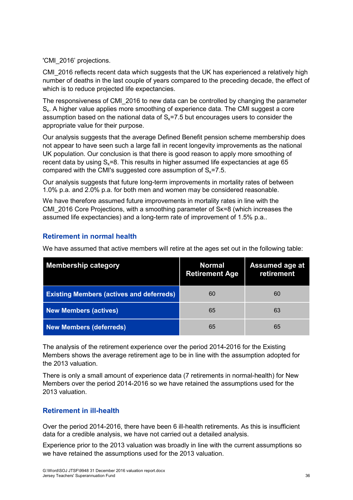'CMI\_2016' projections.

CMI\_2016 reflects recent data which suggests that the UK has experienced a relatively high number of deaths in the last couple of years compared to the preceding decade, the effect of which is to reduce projected life expectancies.

The responsiveness of CMI\_2016 to new data can be controlled by changing the parameter S<sub>K</sub>. A higher value applies more smoothing of experience data. The CMI suggest a core assumption based on the national data of  $S<sub>k</sub>=7.5$  but encourages users to consider the appropriate value for their purpose.

Our analysis suggests that the average Defined Benefit pension scheme membership does not appear to have seen such a large fall in recent longevity improvements as the national UK population. Our conclusion is that there is good reason to apply more smoothing of recent data by using  $S_k$ =8. This results in higher assumed life expectancies at age 65 compared with the CMI's suggested core assumption of  $S_k = 7.5$ .

Our analysis suggests that future long-term improvements in mortality rates of between 1.0% p.a. and 2.0% p.a. for both men and women may be considered reasonable.

We have therefore assumed future improvements in mortality rates in line with the CMI\_2016 Core Projections, with a smoothing parameter of Sκ=8 (which increases the assumed life expectancies) and a long-term rate of improvement of 1.5% p.a..

#### **Retirement in normal health**

We have assumed that active members will retire at the ages set out in the following table:

| <b>Membership category</b>                      | <b>Normal</b><br><b>Retirement Age</b> | <b>Assumed age at</b><br>retirement |
|-------------------------------------------------|----------------------------------------|-------------------------------------|
| <b>Existing Members (actives and deferreds)</b> | 60                                     | 60                                  |
| <b>New Members (actives)</b>                    | 65                                     | 63                                  |
| <b>New Members (deferreds)</b>                  | 65                                     | 65                                  |

The analysis of the retirement experience over the period 2014-2016 for the Existing Members shows the average retirement age to be in line with the assumption adopted for the 2013 valuation.

There is only a small amount of experience data (7 retirements in normal-health) for New Members over the period 2014-2016 so we have retained the assumptions used for the 2013 valuation.

#### **Retirement in ill-health**

Over the period 2014-2016, there have been 6 ill-health retirements. As this is insufficient data for a credible analysis, we have not carried out a detailed analysis.

Experience prior to the 2013 valuation was broadly in line with the current assumptions so we have retained the assumptions used for the 2013 valuation.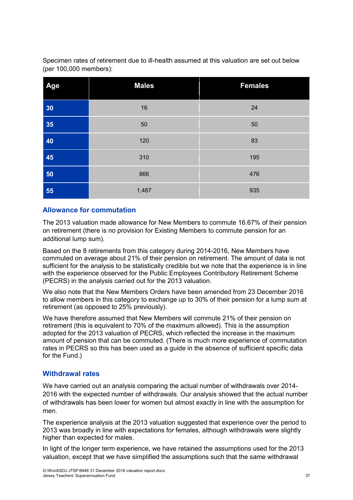Specimen rates of retirement due to ill-health assumed at this valuation are set out below (per 100,000 members):

| Age | <b>Males</b> | <b>Females</b> |
|-----|--------------|----------------|
| 30  | 16           | 24             |
| 35  | 50           | 50             |
| 40  | 120          | 83             |
| 45  | 310          | 195            |
| 50  | 866          | 476            |
| 55  | 1,487        | 935            |

#### **Allowance for commutation**

The 2013 valuation made allowance for New Members to commute 16.67% of their pension on retirement (there is no provision for Existing Members to commute pension for an additional lump sum).

Based on the 8 retirements from this category during 2014-2016, New Members have commuted on average about 21% of their pension on retirement. The amount of data is not sufficient for the analysis to be statistically credible but we note that the experience is in line with the experience observed for the Public Employees Contributory Retirement Scheme (PECRS) in the analysis carried out for the 2013 valuation.

We also note that the New Members Orders have been amended from 23 December 2016 to allow members in this category to exchange up to 30% of their pension for a lump sum at retirement (as opposed to 25% previously).

We have therefore assumed that New Members will commute 21% of their pension on retirement (this is equivalent to 70% of the maximum allowed). This is the assumption adopted for the 2013 valuation of PECRS, which reflected the increase in the maximum amount of pension that can be commuted. (There is much more experience of commutation rates in PECRS so this has been used as a guide in the absence of sufficient specific data for the Fund.)

#### **Withdrawal rates**

We have carried out an analysis comparing the actual number of withdrawals over 2014- 2016 with the expected number of withdrawals. Our analysis showed that the actual number of withdrawals has been lower for women but almost exactly in line with the assumption for men.

The experience analysis at the 2013 valuation suggested that experience over the period to 2013 was broadly in line with expectations for females, although withdrawals were slightly higher than expected for males.

In light of the longer term experience, we have retained the assumptions used for the 2013 valuation, except that we have simplified the assumptions such that the same withdrawal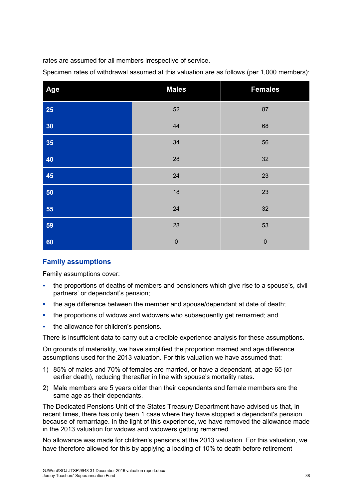rates are assumed for all members irrespective of service.

Specimen rates of withdrawal assumed at this valuation are as follows (per 1,000 members):

| Age | <b>Males</b> | <b>Females</b> |
|-----|--------------|----------------|
| 25  | 52           | 87             |
| 30  | 44           | 68             |
| 35  | 34           | 56             |
| 40  | 28           | 32             |
| 45  | 24           | 23             |
| 50  | 18           | 23             |
| 55  | 24           | 32             |
| 59  | 28           | 53             |
| 60  | $\mathbf 0$  | $\mathbf 0$    |

#### **Family assumptions**

Family assumptions cover:

- the proportions of deaths of members and pensioners which give rise to a spouse's, civil partners' or dependant's pension;
- the age difference between the member and spouse/dependant at date of death;
- the proportions of widows and widowers who subsequently get remarried; and
- the allowance for children's pensions.

There is insufficient data to carry out a credible experience analysis for these assumptions.

On grounds of materiality, we have simplified the proportion married and age difference assumptions used for the 2013 valuation. For this valuation we have assumed that:

- 1) 85% of males and 70% of females are married, or have a dependant, at age 65 (or earlier death), reducing thereafter in line with spouse's mortality rates.
- 2) Male members are 5 years older than their dependants and female members are the same age as their dependants.

The Dedicated Pensions Unit of the States Treasury Department have advised us that, in recent times, there has only been 1 case where they have stopped a dependant's pension because of remarriage. In the light of this experience, we have removed the allowance made in the 2013 valuation for widows and widowers getting remarried.

No allowance was made for children's pensions at the 2013 valuation. For this valuation, we have therefore allowed for this by applying a loading of 10% to death before retirement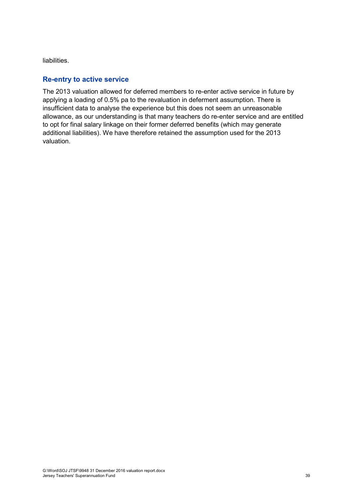liabilities.

#### **Re-entry to active service**

The 2013 valuation allowed for deferred members to re-enter active service in future by applying a loading of 0.5% pa to the revaluation in deferment assumption. There is insufficient data to analyse the experience but this does not seem an unreasonable allowance, as our understanding is that many teachers do re-enter service and are entitled to opt for final salary linkage on their former deferred benefits (which may generate additional liabilities). We have therefore retained the assumption used for the 2013 valuation.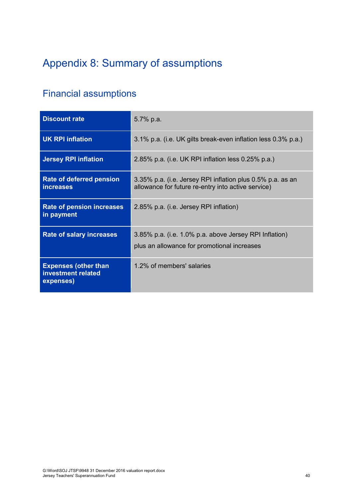# <span id="page-47-0"></span>Appendix 8: Summary of assumptions

### Financial assumptions

| <b>Discount rate</b>                                           | 5.7% p.a.                                                                                                        |
|----------------------------------------------------------------|------------------------------------------------------------------------------------------------------------------|
| <b>UK RPI inflation</b>                                        | 3.1% p.a. (i.e. UK gilts break-even inflation less 0.3% p.a.)                                                    |
| <b>Jersey RPI inflation</b>                                    | 2.85% p.a. (i.e. UK RPI inflation less 0.25% p.a.)                                                               |
| <b>Rate of deferred pension</b><br>increases                   | 3.35% p.a. (i.e. Jersey RPI inflation plus 0.5% p.a. as an<br>allowance for future re-entry into active service) |
| <b>Rate of pension increases</b><br>in payment                 | 2.85% p.a. (i.e. Jersey RPI inflation)                                                                           |
| <b>Rate of salary increases</b>                                | 3.85% p.a. (i.e. 1.0% p.a. above Jersey RPI Inflation)<br>plus an allowance for promotional increases            |
| <b>Expenses (other than</b><br>investment related<br>expenses) | 1.2% of members' salaries                                                                                        |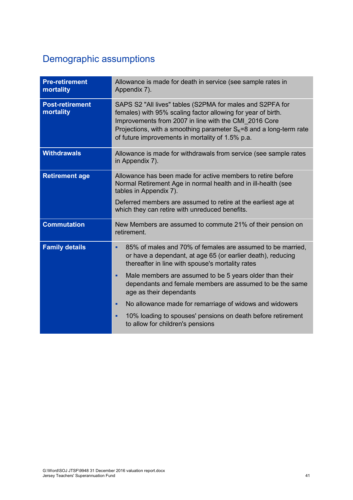### Demographic assumptions

| <b>Pre-retirement</b><br>mortality  | Allowance is made for death in service (see sample rates in<br>Appendix 7).                                                                                                                                                                                                                                      |
|-------------------------------------|------------------------------------------------------------------------------------------------------------------------------------------------------------------------------------------------------------------------------------------------------------------------------------------------------------------|
| <b>Post-retirement</b><br>mortality | SAPS S2 "All lives" tables (S2PMA for males and S2PFA for<br>females) with 95% scaling factor allowing for year of birth.<br>Improvements from 2007 in line with the CMI 2016 Core<br>Projections, with a smoothing parameter $S_k = 8$ and a long-term rate<br>of future improvements in mortality of 1.5% p.a. |
| <b>Withdrawals</b>                  | Allowance is made for withdrawals from service (see sample rates<br>in Appendix 7).                                                                                                                                                                                                                              |
| <b>Retirement age</b>               | Allowance has been made for active members to retire before<br>Normal Retirement Age in normal health and in ill-health (see<br>tables in Appendix 7).<br>Deferred members are assumed to retire at the earliest age at                                                                                          |
|                                     | which they can retire with unreduced benefits.                                                                                                                                                                                                                                                                   |
| <b>Commutation</b>                  | New Members are assumed to commute 21% of their pension on<br>retirement.                                                                                                                                                                                                                                        |
| <b>Family details</b>               | 85% of males and 70% of females are assumed to be married,<br>٠<br>or have a dependant, at age 65 (or earlier death), reducing<br>thereafter in line with spouse's mortality rates                                                                                                                               |
|                                     | Male members are assumed to be 5 years older than their<br>٠<br>dependants and female members are assumed to be the same<br>age as their dependants                                                                                                                                                              |
|                                     | No allowance made for remarriage of widows and widowers<br>٠                                                                                                                                                                                                                                                     |
|                                     | 10% loading to spouses' pensions on death before retirement<br>٠<br>to allow for children's pensions                                                                                                                                                                                                             |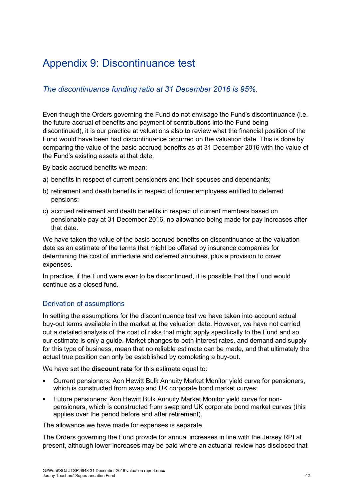### <span id="page-49-0"></span>Appendix 9: Discontinuance test

#### *The discontinuance funding ratio at 31 December 2016 is 95%.*

Even though the Orders governing the Fund do not envisage the Fund's discontinuance (i.e. the future accrual of benefits and payment of contributions into the Fund being discontinued), it is our practice at valuations also to review what the financial position of the Fund would have been had discontinuance occurred on the valuation date. This is done by comparing the value of the basic accrued benefits as at 31 December 2016 with the value of the Fund's existing assets at that date.

By basic accrued benefits we mean:

- a) benefits in respect of current pensioners and their spouses and dependants;
- b) retirement and death benefits in respect of former employees entitled to deferred pensions;
- c) accrued retirement and death benefits in respect of current members based on pensionable pay at 31 December 2016, no allowance being made for pay increases after that date.

We have taken the value of the basic accrued benefits on discontinuance at the valuation date as an estimate of the terms that might be offered by insurance companies for determining the cost of immediate and deferred annuities, plus a provision to cover expenses.

In practice, if the Fund were ever to be discontinued, it is possible that the Fund would continue as a closed fund.

#### Derivation of assumptions

In setting the assumptions for the discontinuance test we have taken into account actual buy-out terms available in the market at the valuation date. However, we have not carried out a detailed analysis of the cost of risks that might apply specifically to the Fund and so our estimate is only a guide. Market changes to both interest rates, and demand and supply for this type of business, mean that no reliable estimate can be made, and that ultimately the actual true position can only be established by completing a buy-out.

We have set the **discount rate** for this estimate equal to:

- Current pensioners: Aon Hewitt Bulk Annuity Market Monitor yield curve for pensioners, which is constructed from swap and UK corporate bond market curves;
- Future pensioners: Aon Hewitt Bulk Annuity Market Monitor yield curve for nonpensioners, which is constructed from swap and UK corporate bond market curves (this applies over the period before and after retirement).

The allowance we have made for expenses is separate.

The Orders governing the Fund provide for annual increases in line with the Jersey RPI at present, although lower increases may be paid where an actuarial review has disclosed that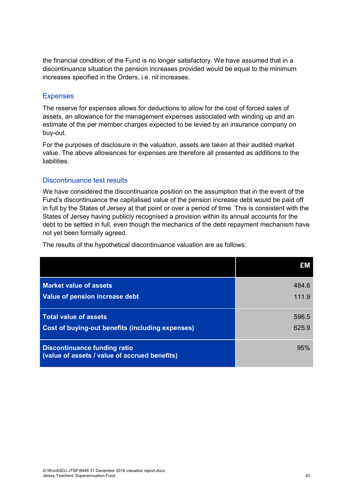the financial condition of the Fund is no longer satisfactory. We have assumed that in a discontinuance situation the pension increases provided would be equal to the minimum increases specified in the Orders, i.e. nil increases.

#### Expenses

The reserve for expenses allows for deductions to allow for the cost of forced sales of assets, an allowance for the management expenses associated with winding up and an estimate of the per member charges expected to be levied by an insurance company on buy-out.

For the purposes of disclosure in the valuation, assets are taken at their audited market value. The above allowances for expenses are therefore all presented as additions to the liabilities.

#### Discontinuance test results

We have considered the discontinuance position on the assumption that in the event of the Fund's discontinuance the capitalised value of the pension increase debt would be paid off in full by the States of Jersey at that point or over a period of time. This is consistent with the States of Jersey having publicly recognised a provision within its annual accounts for the debt to be settled in full, even though the mechanics of the debt repayment mechanism have not yet been formally agreed.

|                                                                                      | £M    |
|--------------------------------------------------------------------------------------|-------|
| <b>Market value of assets</b>                                                        | 484.6 |
| Value of pension increase debt                                                       | 111.9 |
| <b>Total value of assets</b>                                                         | 596.5 |
| Cost of buying-out benefits (including expenses)                                     | 625.9 |
| <b>Discontinuance funding ratio</b><br>(value of assets / value of accrued benefits) | 95%   |

The results of the hypothetical discontinuance valuation are as follows: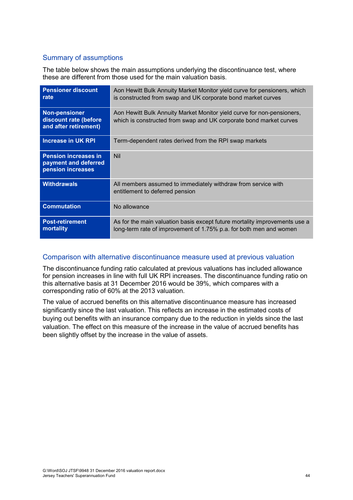#### Summary of assumptions

The table below shows the main assumptions underlying the discontinuance test, where these are different from those used for the main valuation basis.

| <b>Pensioner discount</b><br>rate                                        | Aon Hewitt Bulk Annuity Market Monitor yield curve for pensioners, which<br>is constructed from swap and UK corporate bond market curves         |
|--------------------------------------------------------------------------|--------------------------------------------------------------------------------------------------------------------------------------------------|
| <b>Non-pensioner</b><br>discount rate (before<br>and after retirement)   | Aon Hewitt Bulk Annuity Market Monitor yield curve for non-pensioners,<br>which is constructed from swap and UK corporate bond market curves     |
| Increase in UK RPI                                                       | Term-dependent rates derived from the RPI swap markets                                                                                           |
| <b>Pension increases in</b><br>payment and deferred<br>pension increases | <b>Nil</b>                                                                                                                                       |
| <b>Withdrawals</b>                                                       | All members assumed to immediately withdraw from service with<br>entitlement to deferred pension                                                 |
| <b>Commutation</b>                                                       | No allowance                                                                                                                                     |
| <b>Post-retirement</b><br>mortality                                      | As for the main valuation basis except future mortality improvements use a<br>long-term rate of improvement of 1.75% p.a. for both men and women |

#### Comparison with alternative discontinuance measure used at previous valuation

The discontinuance funding ratio calculated at previous valuations has included allowance for pension increases in line with full UK RPI increases. The discontinuance funding ratio on this alternative basis at 31 December 2016 would be 39%, which compares with a corresponding ratio of 60% at the 2013 valuation.

The value of accrued benefits on this alternative discontinuance measure has increased significantly since the last valuation. This reflects an increase in the estimated costs of buying out benefits with an insurance company due to the reduction in yields since the last valuation. The effect on this measure of the increase in the value of accrued benefits has been slightly offset by the increase in the value of assets.